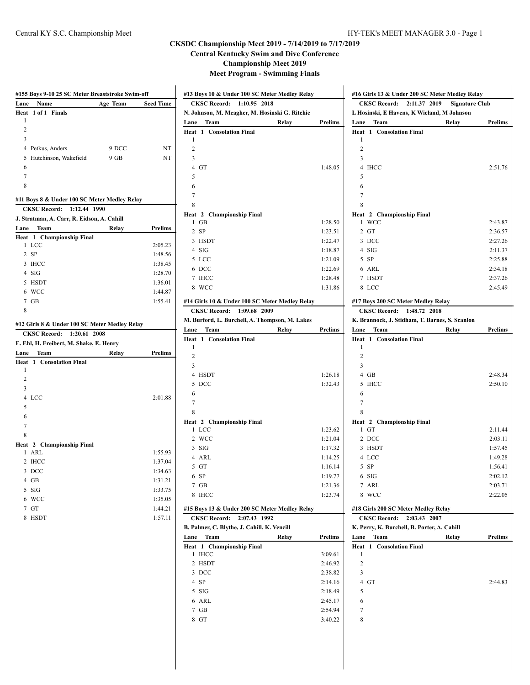#### Central KY S.C. Championship Meet HY-TEK's MEET MANAGER 3.0 - Page 1

# **CKSDC Championship Meet 2019 - 7/14/2019 to 7/17/2019**

**Central Kentucky Swim and Dive Conference**

**Championship Meet 2019**

**Meet Program - Swimming Finals**

| Lane           | Name                                          | Age Team | Seed Time                                |
|----------------|-----------------------------------------------|----------|------------------------------------------|
| Heat           | 1 of 1 Finals                                 |          |                                          |
| 1              |                                               |          |                                          |
| 2              |                                               |          |                                          |
| 3              |                                               |          |                                          |
|                | 4 Petkus, Anders                              | 9 DCC    | NT                                       |
| 5              | Hutchinson, Wakefield                         | 9 GB     | NT                                       |
| 6              |                                               |          |                                          |
| 7              |                                               |          |                                          |
| 8              |                                               |          |                                          |
|                | #11 Boys 8 & Under 100 SC Meter Medley Relay  |          |                                          |
|                | <b>CKSC Record:</b><br>1:12.44 1990           |          |                                          |
|                | J. Stratman, A. Carr, R. Eidson, A. Cahill    |          |                                          |
| Lane           | Team                                          | Relay    | Prelims                                  |
|                | Heat 1 Championship Final                     |          |                                          |
|                | 1 LCC<br>$2$ SP                               |          | 2:05.23                                  |
|                | 3 IHCC                                        |          | 1:48.56                                  |
|                | 4 SIG                                         |          | 1:38.45<br>1:28.70                       |
|                | 5 HSDT                                        |          | 1:36.01                                  |
|                | 6 WCC                                         |          | 1:44.87                                  |
|                | $7$ GB                                        |          | 1:55.41                                  |
| 8              |                                               |          |                                          |
|                |                                               |          |                                          |
|                | #12 Girls 8 & Under 100 SC Meter Medley Relay |          |                                          |
|                | <b>CKSC Record:</b><br>1:20.61 2008           |          |                                          |
|                |                                               |          |                                          |
|                | E. Ehl, H. Freibert, M. Shake, E. Henry       |          |                                          |
| Lane           | Team                                          | Relay    |                                          |
| Heat<br>1      | 1 Consolation Final                           |          | Prelims                                  |
| $\overline{2}$ |                                               |          |                                          |
| 3              |                                               |          |                                          |
| 4              | LCC                                           |          |                                          |
| 5              |                                               |          | 2:01.88                                  |
| 6              |                                               |          |                                          |
| 7              |                                               |          |                                          |
| 8              |                                               |          |                                          |
|                | Heat 2 Championship Final                     |          |                                          |
| 1              | ARL                                           |          | 1:55.93                                  |
|                | 2 IHCC                                        |          | 1:37.04                                  |
|                | 3 DCC                                         |          |                                          |
|                | 4 GB                                          |          |                                          |
| 5              | SIG                                           |          |                                          |
| 6              | WCC                                           |          | 1:34.63<br>1:31.21<br>1:33.75<br>1:35.05 |
| 7              | GT                                            |          |                                          |
| 8              | <b>HSDT</b>                                   |          |                                          |
|                |                                               |          |                                          |
|                |                                               |          | 1:44.21<br>1:57.11                       |

| <b>CKSC Record:</b>                                                                                  | 1:10.95 2018                                                              |
|------------------------------------------------------------------------------------------------------|---------------------------------------------------------------------------|
| N. Johnson, M. Meagher, M. Hosinski G. Ritchie                                                       |                                                                           |
| Team<br>Lane                                                                                         | Relay<br>Prelims                                                          |
| 1 Consolation Final<br>Heat                                                                          |                                                                           |
| 1                                                                                                    |                                                                           |
| $\overline{c}$                                                                                       |                                                                           |
| 3                                                                                                    |                                                                           |
| 4 GT                                                                                                 | 1:48.05                                                                   |
| 5                                                                                                    |                                                                           |
| 6<br>7                                                                                               |                                                                           |
| 8                                                                                                    |                                                                           |
| Heat 2 Championship Final                                                                            |                                                                           |
| GB<br>1                                                                                              | 1:28.50                                                                   |
| $2$ SP                                                                                               | 1:23.51                                                                   |
| 3 HSDT                                                                                               | 1:22.47                                                                   |
| 4 SIG                                                                                                | 1:18.87                                                                   |
| 5 LCC                                                                                                | 1:21.09                                                                   |
| 6 DCC                                                                                                | 1:22.69                                                                   |
| 7 IHCC                                                                                               | 1:28.48                                                                   |
| 8 WCC                                                                                                | 1:31.86                                                                   |
| #14 Girls 10 & Under 100 SC Meter Medley Relay                                                       |                                                                           |
| 1:09.68 2009<br><b>CKSC Record:</b>                                                                  |                                                                           |
| M. Burford, L. Burchell, A. Thompson, M. Lakes                                                       |                                                                           |
| Team<br>Lane                                                                                         | Relay<br><b>Prelims</b>                                                   |
| Heat<br>1 Consolation Final                                                                          |                                                                           |
| 1                                                                                                    |                                                                           |
| 2                                                                                                    |                                                                           |
| 3                                                                                                    |                                                                           |
| 4 HSDT                                                                                               | 1:26.18                                                                   |
| 5<br>DCC                                                                                             | 1:32.43                                                                   |
| 6                                                                                                    |                                                                           |
| 7                                                                                                    |                                                                           |
| 8                                                                                                    |                                                                           |
| Heat 2 Championship Final<br><b>LCC</b><br>1                                                         | 1:23.62                                                                   |
| 2 WCC                                                                                                | 1:21.04                                                                   |
| $3$ SIG                                                                                              | 1:17.32                                                                   |
| 4 ARL                                                                                                | 1:14.25                                                                   |
| 5<br>GT                                                                                              | 1:16.14                                                                   |
|                                                                                                      |                                                                           |
|                                                                                                      |                                                                           |
| 6 SP                                                                                                 |                                                                           |
| 7 GB<br><b>IHCC</b><br>8                                                                             |                                                                           |
|                                                                                                      | 1:19.77                                                                   |
| #15 Boys 13 & Under 200 SC Meter Medley Relay                                                        |                                                                           |
| CKSC Record: 2:07.43 1992                                                                            |                                                                           |
|                                                                                                      | 1:21.36<br>1:23.74                                                        |
| Team                                                                                                 | Prelims<br>Relay                                                          |
|                                                                                                      |                                                                           |
| B. Palmer, C. Blythe, J. Cahill, K. Vencill<br>Lane<br>Heat 1 Championship Final<br>1 IHCC<br>2 HSDT |                                                                           |
| 3 DCC                                                                                                |                                                                           |
| 4 SP                                                                                                 |                                                                           |
| $5$ SIG                                                                                              |                                                                           |
| 6 ARL                                                                                                |                                                                           |
| $7$ GB                                                                                               | 3:09.61<br>2:46.92<br>2:38.82<br>2:14.16<br>2:18.49<br>2:45.17<br>2:54.94 |

| #16 Girls 13 & Under 200 SC Meter Medley Relay<br>CKSC Record: 2:11.37 2019 | <b>Signature Club</b> |                                                                                                                                  |
|-----------------------------------------------------------------------------|-----------------------|----------------------------------------------------------------------------------------------------------------------------------|
| L Hosinski, E Havens, K Wieland, M Johnson                                  |                       |                                                                                                                                  |
| Team<br>Lane                                                                | Relay                 | <b>Prelims</b>                                                                                                                   |
| 1 Consolation Final<br>Heat                                                 |                       |                                                                                                                                  |
| 1                                                                           |                       |                                                                                                                                  |
| 2                                                                           |                       |                                                                                                                                  |
| 3                                                                           |                       |                                                                                                                                  |
| $\overline{4}$<br><b>IHCC</b>                                               |                       | 2:51.76                                                                                                                          |
| 5                                                                           |                       |                                                                                                                                  |
| 6                                                                           |                       |                                                                                                                                  |
| 7                                                                           |                       |                                                                                                                                  |
| 8                                                                           |                       |                                                                                                                                  |
| Heat 2 Championship Final<br><b>WCC</b><br>1                                |                       | 2:43.87                                                                                                                          |
| 2 GT                                                                        |                       | 2:36.57                                                                                                                          |
| 3 DCC                                                                       |                       | 2:27.26                                                                                                                          |
| 4 SIG                                                                       |                       | 2:11.37                                                                                                                          |
| $5$ SP                                                                      |                       | 2:25.88                                                                                                                          |
| 6 ARL                                                                       |                       | 2:34.18                                                                                                                          |
| 7 HSDT                                                                      |                       | 2:37.26                                                                                                                          |
| 8 LCC                                                                       |                       | 2:45.49                                                                                                                          |
|                                                                             |                       |                                                                                                                                  |
| #17 Boys 200 SC Meter Medley Relay                                          |                       |                                                                                                                                  |
| <b>CKSC Record:</b>                                                         | 1:48.72 2018          |                                                                                                                                  |
| K. Brannock, J. Stidham, T. Barnes, S. Scanlon<br>Lane<br>Team              | Relay                 | <b>Prelims</b>                                                                                                                   |
| 1 Consolation Final<br>Heat                                                 |                       |                                                                                                                                  |
| 1                                                                           |                       |                                                                                                                                  |
| 2                                                                           |                       |                                                                                                                                  |
|                                                                             |                       |                                                                                                                                  |
| 3                                                                           |                       |                                                                                                                                  |
| $4$ GB                                                                      |                       |                                                                                                                                  |
| 5<br><b>IHCC</b>                                                            |                       |                                                                                                                                  |
| 6                                                                           |                       |                                                                                                                                  |
| 7                                                                           |                       |                                                                                                                                  |
| 8                                                                           |                       |                                                                                                                                  |
| Heat 2 Championship Final                                                   |                       |                                                                                                                                  |
| GT<br>1                                                                     |                       |                                                                                                                                  |
| 2 DCC                                                                       |                       |                                                                                                                                  |
| 3 HSDT                                                                      |                       |                                                                                                                                  |
| 4 LCC                                                                       |                       |                                                                                                                                  |
| 5<br><b>SP</b>                                                              |                       |                                                                                                                                  |
| $6$ SIG                                                                     |                       |                                                                                                                                  |
| 7 ARL                                                                       |                       |                                                                                                                                  |
| 8 WCC                                                                       |                       |                                                                                                                                  |
| #18 Girls 200 SC Meter Medley Relay                                         |                       |                                                                                                                                  |
| <b>CKSC Record:</b>                                                         | 2:03.43 2007          |                                                                                                                                  |
| K. Perry, K. Burchell, B. Porter, A. Cahill                                 |                       |                                                                                                                                  |
| Lane Team                                                                   | Relay                 |                                                                                                                                  |
| <b>Heat 1 Consolation Final</b>                                             |                       |                                                                                                                                  |
| 1<br>$\overline{c}$                                                         |                       |                                                                                                                                  |
| 3                                                                           |                       |                                                                                                                                  |
| $\overline{4}$<br>GT                                                        |                       |                                                                                                                                  |
| 5                                                                           |                       |                                                                                                                                  |
| 6                                                                           |                       |                                                                                                                                  |
| 7                                                                           |                       | 2:48.34<br>2:50.10<br>2:11.44<br>2:03.11<br>1:57.45<br>1:49.28<br>1:56.41<br>2:02.12<br>2:03.71<br>2:22.05<br>Prelims<br>2:44.83 |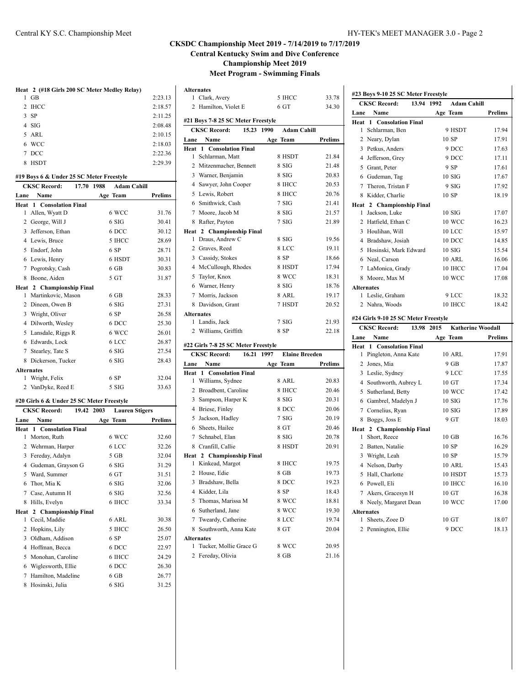|   | Heat 2 (#18 Girls 200 SC Meter Medley Relay) |         |
|---|----------------------------------------------|---------|
| 1 | GB                                           | 2:23.13 |
|   | 2 IHCC                                       | 2:18.57 |
|   | $3$ SP                                       | 2:11.25 |
|   | $4$ SIG                                      | 2:08.48 |
|   | 5 ARL                                        | 2:10.15 |
|   | 6 WCC                                        | 2:18.03 |
|   | 7 DCC                                        | 2:22.36 |
|   | 8 HSDT                                       | 2.29.39 |
|   |                                              |         |

#### **#19 Boys 6 & Under 25 SC Meter Freestyle**

|                   | <b>CKSC Record:</b>             | 17.70 | 1988 | <b>Adam Cahill</b> |                |
|-------------------|---------------------------------|-------|------|--------------------|----------------|
| Lane              | Name                            |       |      | Age Team           | <b>Prelims</b> |
|                   | <b>Heat 1 Consolation Final</b> |       |      |                    |                |
| 1                 | Allen, Wyatt D                  |       |      | 6 WCC              | 31.76          |
|                   | 2 George, Will J                |       |      | 6 SIG              | 30.41          |
|                   | 3 Jefferson, Ethan              |       |      | 6 DCC              | 30.12          |
| 4                 | Lewis, Bruce                    |       |      | 5 IHCC             | 28.69          |
| 5                 | Endorf, John                    |       |      | 6 SP               | 28.71          |
| 6                 | Lewis, Henry                    |       |      | 6 HSDT             | 30.31          |
| 7                 | Pogrotsky, Cash                 |       |      | $6$ GB             | 30.83          |
| 8                 | Boone, Aiden                    |       |      | 5 GT               | 31.87          |
|                   | Heat 2 Championship Final       |       |      |                    |                |
| 1                 | Martinkovic, Mason              |       |      | $6$ GB             | 28.33          |
| 2                 | Dineen, Owen B                  |       |      | 6 SIG              | 27.31          |
|                   | 3 Wright, Oliver                |       |      | 6 SP               | 26.58          |
| 4                 | Dilworth, Wesley                |       |      | 6 DCC              | 25.30          |
| 5                 | Lansdale, Riggs R               |       |      | 6 WCC              | 26.01          |
| 6                 | Edwards, Lock                   |       |      | 6 LCC              | 26.87          |
| 7                 | Stearley, Tate S                |       |      | 6 SIG              | 27.54          |
| 8                 | Dickerson, Tucker               |       |      | 6 SIG              | 28.43          |
| <b>Alternates</b> |                                 |       |      |                    |                |
| 1                 | Wright, Felix                   |       |      | 6 SP               | 32.04          |
| 2                 | VanDyke, Reed E                 |       |      | 5 SIG              | 33.63          |

#### **#20 Girls 6 & Under 25 SC Meter Freestyle**

|      | <b>CKSC Record:</b><br>19.42 2003 | <b>Lauren Stigers</b> |                |
|------|-----------------------------------|-----------------------|----------------|
| Lane | Name                              | Age Team              | <b>Prelims</b> |
| Heat | 1 Consolation Final               |                       |                |
| 1    | Morton, Ruth                      | 6 WCC                 | 32.60          |
| 2    | Wehrman, Harper                   | 6 LCC                 | 32.26          |
| 3    | Fereday, Adalyn                   | 5 GB                  | 32.04          |
| 4    | Gudeman, Grayson G                | 6 SIG                 | 31.29          |
| 5    | Ward, Summer                      | 6 <sub>GT</sub>       | 31.51          |
| 6    | Thor, Mia K                       | 6 SIG                 | 32.06          |
| 7    | Case, Autumn H                    | 6 SIG                 | 32.56          |
| 8    | Hills, Evelyn                     | 6 IHCC                | 33.34          |
|      | Heat 2 Championship Final         |                       |                |
| 1    | Cecil, Maddie                     | 6 ARL                 | 30.38          |
| 2    | Hopkins, Lily                     | 5 IHCC                | 26.50          |
| 3    | Oldham, Addison                   | 6 SP                  | 25.07          |
| 4    | Hoffman, Becca                    | 6 DCC                 | 22.97          |
| 5    | Monohan, Caroline                 | 6 IHCC                | 24.29          |
| 6    | Wiglesworth, Ellie                | 6 DCC                 | 26.30          |
| 7    | Hamilton, Madeline                | $6$ GB                | 26.77          |
| 8    | Hosinski, Julia                   | 6 SIG                 | 31.25          |

|      | <b>Alternates</b>                   |                       |                |
|------|-------------------------------------|-----------------------|----------------|
|      | 1 Clark, Avery                      | 5 IHCC                | 33.78          |
|      | 2 Hamilton, Violet E                | 6 GT                  | 34.30          |
|      | #21 Boys 7-8 25 SC Meter Freestyle  |                       |                |
|      | <b>CKSC Record:</b><br>15.23 1990   | <b>Adam Cahill</b>    |                |
| Lane | Name                                | Age Team              | Prelims        |
| Heat | 1 Consolation Final                 |                       |                |
| 1.   | Schlarman, Matt                     | 8 HSDT                | 21.84          |
|      | 2 Mitzenmacher, Bennett             | 8 SIG                 | 21.48          |
| 3    | Warner, Benjamin                    | 8 SIG                 | 20.83          |
| 4    | Sawyer, John Cooper                 | 8 IHCC                | 20.53          |
| 5    | Lewis, Robert                       | 8 IHCC                | 20.76          |
|      | 6 Smithwick, Cash                   | 7SIG                  | 21.41          |
|      | 7 Moore, Jacob M                    | 8 SIG                 | 21.57          |
| 8    | Rafter, Payton                      | 7SIG                  | 21.89          |
|      | Heat 2 Championship Final           |                       |                |
| 1.   | Draus, Andrew C                     | 8 SIG                 | 19.56          |
| 2    | Graves, Reed                        | 8 LCC                 | 19.11          |
| 3    | Cassidy, Stokes                     | 8 SP                  | 18.66          |
|      | 4 McCullough, Rhodes                | 8 HSDT                | 17.94          |
| 5    | Taylor, Knox                        | 8 WCC                 | 18.31          |
| 6    | Warner, Henry                       | 8 SIG                 | 18.76          |
| 7    | Morris, Jackson                     | 8 ARL                 | 19.17          |
| 8    | Davidson, Grant                     | 7 HSDT                | 20.52          |
|      | <b>Alternates</b>                   |                       |                |
|      | 1 Landis, Jack                      | 7 SIG                 | 21.93          |
|      | 2 Williams, Griffith                | 8 SP                  | 22.18          |
|      | #22 Girls 7-8 25 SC Meter Freestyle |                       |                |
|      | <b>CKSC Record:</b><br>16.21 1997   | <b>Elaine Breeden</b> |                |
| Lane | Name                                | Age Team              | <b>Prelims</b> |
| Heat | 1 Consolation Final                 |                       |                |
|      | 1 Williams Sydnee                   | 8. ARI.               | 20.83          |

|                   |                                 | $\mathbf{r}$<br>1 Cam |       |
|-------------------|---------------------------------|-----------------------|-------|
|                   | <b>Heat 1 Consolation Final</b> |                       |       |
| 1                 | Williams, Sydnee                | 8 ARL                 | 20.83 |
| 2                 | Broadbent, Caroline             | 8 IHCC                | 20.46 |
|                   | 3 Sampson, Harper K             | 8 SIG                 | 20.31 |
| 4                 | Briese, Finley                  | 8 DCC                 | 20.06 |
| 5                 | Jackson, Hadley                 | 7 SIG                 | 20.19 |
|                   | 6 Sheets, Hailee                | 8 GT                  | 20.46 |
|                   | 7 Schnabel, Elan                | 8 SIG                 | 20.78 |
|                   | 8 Cranfill, Callie              | 8 HSDT                | 20.91 |
|                   | Heat 2 Championship Final       |                       |       |
| 1                 | Kinkead, Margot                 | 8 IHCC                | 19.75 |
|                   | 2 House, Edie                   | 8 GB                  | 19.73 |
|                   | 3 Bradshaw, Bella               | 8 DCC                 | 19.23 |
|                   | 4 Kidder, Lila                  | 8 SP                  | 18.43 |
| 5                 | Thomas, Marissa M               | 8 WCC                 | 18.81 |
| 6                 | Sutherland, Jane                | 8 WCC                 | 19.30 |
| 7                 | Tweardy, Catherine              | 8 LCC                 | 19.74 |
| 8                 | Southworth, Anna Kate           | 8 GT                  | 20.04 |
| <b>Alternates</b> |                                 |                       |       |
| 1                 | Tucker, Mollie Grace G          | 8 WCC                 | 20.95 |
|                   | 2 Fereday, Olivia               | 8 GB                  | 21.16 |

| #23 Boys 9-10 25 SC Meter Freestyle |                                      |            |          |                          |         |
|-------------------------------------|--------------------------------------|------------|----------|--------------------------|---------|
|                                     | <b>CKSC Record:</b>                  | 13.94 1992 |          | <b>Adam Cahill</b>       |         |
| Lane                                | Name                                 |            | Age Team |                          | Prelims |
| Heat                                | <b>Consolation Final</b><br>1        |            |          |                          |         |
| 1                                   | Schlarman, Ben                       |            |          | 9 HSDT                   | 17.94   |
|                                     | 2 Neary, Dylan                       |            |          | 10 SP                    | 17.91   |
|                                     | 3 Petkus, Anders                     |            |          | 9 DCC                    | 17.63   |
|                                     | 4 Jefferson, Grey                    |            |          | 9 DCC                    | 17.11   |
|                                     | 5 Grant, Peter                       |            |          | 9 SP                     | 17.61   |
|                                     | 6 Gudeman, Tag                       |            |          | 10SIG                    | 17.67   |
|                                     | 7 Theron, Tristan F                  |            |          | 9 <sub>STG</sub>         | 17.92   |
| 8                                   | Kidder, Charlie                      |            |          | 10 SP                    | 18.19   |
|                                     | Heat 2 Championship Final            |            |          |                          |         |
| 1                                   | Jackson, Luke                        |            |          | 10SIG                    | 17.07   |
|                                     | 2 Hatfield, Ethan C                  |            |          | 10 WCC                   | 16.23   |
|                                     | 3 Houlihan, Will                     |            |          | 10 LCC                   | 15.97   |
|                                     | 4 Bradshaw, Josiah                   |            |          | 10 DCC                   | 14.85   |
|                                     | 5 Hosinski, Mark Edward              |            |          | 10SIG                    | 15.54   |
|                                     | 6 Neal, Carson                       |            |          | <b>10 ARL</b>            | 16.06   |
|                                     | 7 LaMonica, Grady                    |            |          | 10 IHCC                  | 17.04   |
|                                     | 8 Moore, Max M                       |            |          | 10 WCC                   | 17.08   |
| <b>Alternates</b>                   |                                      |            |          |                          |         |
|                                     | 1 Leslie, Graham                     |            |          | 9 LCC                    | 18.32   |
|                                     | 2 Nahra, Woods                       |            |          | 10 IHCC                  | 18.42   |
|                                     | #24 Girls 9-10 25 SC Meter Freestyle |            |          |                          |         |
|                                     | <b>CKSC Record:</b>                  | 13.98 2015 |          | <b>Katherine Woodall</b> |         |
| Lane                                | Name                                 |            | Age Team |                          | Prelims |
| Heat                                | <b>1</b> Consolation Final           |            |          |                          |         |
| 1                                   | Pingleton, Anna Kate                 |            |          | <b>10 ARL</b>            | 17.91   |
|                                     | 2 Jones, Mia                         |            |          | 9 GB                     | 17.87   |
|                                     | 3 Leslie, Sydney                     |            |          | 9 LCC                    | 17.55   |
|                                     | 4 Southworth, Aubrey L               |            |          | $10 \text{ G}$ T         | 17.34   |
|                                     | 5 Sutherland, Betty                  |            |          | 10 WCC                   | 17.42   |
|                                     | 6 Gambrel, Madelyn J                 |            |          | 10SIG                    | 17.76   |

|              | 10SIG                                                                                                                                                                                                                                                             | 17.89 |
|--------------|-------------------------------------------------------------------------------------------------------------------------------------------------------------------------------------------------------------------------------------------------------------------|-------|
|              | 9 <sub>GT</sub>                                                                                                                                                                                                                                                   | 18.03 |
|              |                                                                                                                                                                                                                                                                   |       |
| Short, Reece | 10 GB                                                                                                                                                                                                                                                             | 16.76 |
|              | 10 SP                                                                                                                                                                                                                                                             | 16.29 |
|              | 10 SP                                                                                                                                                                                                                                                             | 15.79 |
|              | <b>10 ARL</b>                                                                                                                                                                                                                                                     | 15.43 |
|              | 10 HSDT                                                                                                                                                                                                                                                           | 15.73 |
|              | 10 IHCC                                                                                                                                                                                                                                                           | 16.10 |
|              | $10 \text{ GT}$                                                                                                                                                                                                                                                   | 16.38 |
|              | 10 WCC                                                                                                                                                                                                                                                            | 17.00 |
|              |                                                                                                                                                                                                                                                                   |       |
|              | 10 GT                                                                                                                                                                                                                                                             | 18.07 |
|              | 7 Cornelius, Ryan<br>8 Boggs, Joss E<br>Heat 2 Championship Final<br>1.<br>2 Batten, Natalie<br>3 Wright, Leah<br>4 Nelson, Darby<br>5 Hall, Charlotte<br>6 Powell, Eli<br>7 Akers, Gracesyn H<br>8 Neely, Margaret Dean<br><b>Alternates</b><br>1 Sheets, Zoee D |       |

2 Pennington, Ellie 9 DCC 18.13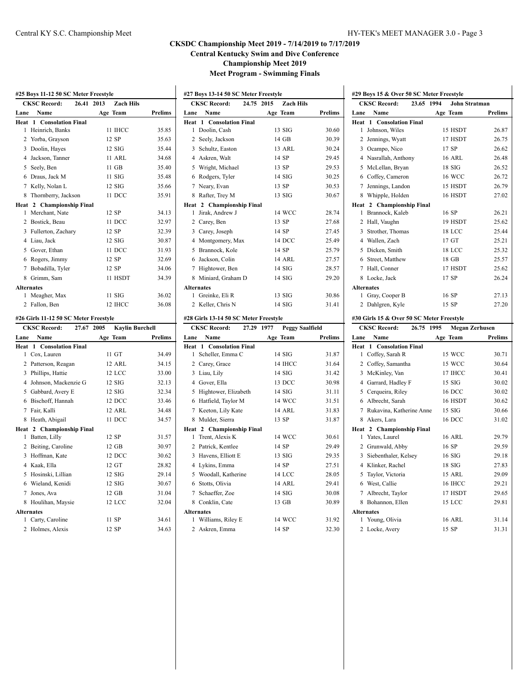|                   | #25 Boys 11-12 50 SC Meter Freestyle  |                                |                |
|-------------------|---------------------------------------|--------------------------------|----------------|
|                   | <b>CKSC Record:</b><br>26.41          | 2013<br><b>Zach Hils</b>       |                |
| Lane              | Name                                  | Age Team                       | <b>Prelims</b> |
| Heat              | <b>Consolation Final</b><br>-1        |                                |                |
| 1                 | Heinrich, Banks                       | 11 IHCC                        | 35.85          |
| 2                 | Yorba, Grayson                        | 12 SP                          | 35.63          |
| 3                 | Doolin, Hayes                         | $12$ SIG                       | 35.44          |
|                   | 4 Jackson, Tanner                     | 11 ARL                         | 34.68          |
|                   | 5 Seely, Ben                          | 11 GB                          | 35.40          |
|                   | 6 Draus, Jack M                       | $11$ SIG                       | 35.48          |
|                   | 7 Kelly, Nolan L                      | 12 SIG                         | 35.66          |
| 8                 | Thornberry, Jackson                   | 11 DCC                         | 35.91          |
|                   | Heat 2 Championship Final             |                                |                |
| 1                 | Merchant, Nate                        | 12 SP                          | 34.13          |
|                   | 2 Bostick, Beau                       | 11 DCC                         | 32.97          |
|                   | 3 Fullerton, Zachary                  | 12 SP                          | 32.39          |
|                   | 4 Liau, Jack                          | 12 SIG                         | 30.87          |
|                   | 5 Gover, Ethan                        | 11 DCC                         | 31.93          |
|                   | 6 Rogers, Jimmy                       | 12 SP                          | 32.69          |
|                   | 7 Bobadilla, Tyler                    | 12 SP                          | 34.06          |
|                   | 8 Grimm, Sam                          | 11 HSDT                        | 34.39          |
| <b>Alternates</b> |                                       |                                |                |
| 1                 | Meagher, Max                          | 11 SIG                         | 36.02          |
| 2                 | Fallon, Ben                           | 12 IHCC                        | 36.08          |
|                   | #26 Girls 11-12 50 SC Meter Freestyle |                                |                |
|                   | <b>CKSC Record:</b><br>27.67          | 2005<br><b>Kaylin Burchell</b> |                |
| Lane              | Name                                  | Age Team                       | <b>Prelims</b> |
| Heat              | 1 Consolation Final                   |                                |                |
| 1                 | Cox, Lauren                           | 11 GT                          | 34.49          |
|                   | 2 Patterson, Reagan                   | 12 ARL                         | 34.15          |
| 3                 | Phillips, Hattie                      | 12 LCC                         | 33.00          |
|                   | 4 Johnson, Mackenzie G                | 12 SIG                         | 32.13          |
|                   | 5 Gabbard, Avery E                    | $12$ SIG                       | 32.34          |
|                   | 6 Bischoff, Hannah                    | 12 DCC                         | 33.46          |
|                   | 7 Fair, Kalli                         | 12 ARL                         | 34.48          |
| 8                 | Heath, Abigail                        | 11 DCC                         | 34.57          |
|                   | Heat 2 Championship Final             |                                |                |
| 1                 | Batten, Lilly                         | 12 SP                          | 31.57          |
|                   | 2 Beiting, Caroline                   | 12 GB                          | 30.97          |
|                   | 3 Hoffman, Kate                       | 12 DCC                         | 30.62          |
|                   | 4 Kaak, Ella                          | 12 GT                          | 28.82          |
|                   | 5 Hosinski, Lillian                   | 12 SIG                         | 29.14          |
|                   | 6 Wieland, Kenidi                     | 12 SIG                         | 30.67          |
|                   | 7 Jones, Ava                          | 12 GB                          | 31.04          |
|                   | 8 Houlihan, Maysie                    | 12 LCC                         | 32.04          |
| <b>Alternates</b> |                                       |                                |                |
|                   |                                       |                                |                |
| 1<br>2            | Carty, Caroline<br>Holmes, Alexis     | 11 SP<br>12 SP                 | 34.61<br>34.63 |

|              | #27 Boys 13-14 50 SC Meter Freestyle |            |                  |                |
|--------------|--------------------------------------|------------|------------------|----------------|
|              | <b>CKSC Record:</b>                  | 24.75 2015 | <b>Zach Hils</b> |                |
| Lane         | Name                                 |            | Age Team         | <b>Prelims</b> |
|              | <b>Heat 1 Consolation Final</b>      |            |                  |                |
| $\mathbf{1}$ | Doolin, Cash                         |            | $13$ SIG         | 30.60          |
| $\mathbf{2}$ | Seely, Jackson                       |            | 14 GB            | 30.39          |
|              | 3 Schultz, Easton                    |            | 13 ARL           | 30.24          |
|              | 4 Askren, Walt                       |            | 14 SP            | 29.45          |
|              | 5 Wright, Michael                    |            | 13 SP            | 29.53          |
| 6.           | Rodgers, Tyler                       |            | $14\,$ SIG       | 30.25          |
|              | 7 Neary, Evan                        |            | 13 SP            | 30.53          |
| 8            | Rafter, Trey M                       |            | $13$ SIG         | 30.67          |
|              | Heat 2 Championship Final            |            |                  |                |
| 1            | Jirak, Andrew J                      |            | 14 WCC           | 28.74          |
|              | 2 Carey, Ben                         |            | 13 SP            | 27.68          |
|              | 3 Carey, Joseph                      |            | 14 SP            | 27.45          |
| 4            | Montgomery, Max                      |            | 14 DCC           | 25.49          |
| 5.           | Brannock, Kole                       |            | 14 SP            | 25.79          |
|              | 6 Jackson, Colin                     |            | 14 ARL           | 27.57          |
| 7            | Hightower, Ben                       |            | $14\,$ SIG       | 28.57          |
| 8            | Miniard, Graham D                    |            | $14\,$ SIG       | 29.20          |
|              | <b>Alternates</b>                    |            |                  |                |
| $\mathbf{1}$ | Greinke, Eli R                       |            | $13$ SIG         | 30.86          |
| 2            | Keller, Chris N                      |            | $14$ SIG         | 31.41          |
|              |                                      |            |                  |                |

#### **#28 Girls 13-14 50 SC Meter Freestyle**

| <b>CKSC Record:</b><br>27.29 1977 |                           | <b>Peggy Saalfield</b> |                |
|-----------------------------------|---------------------------|------------------------|----------------|
| Lane                              | Name                      | Age Team               | <b>Prelims</b> |
| Heat                              | 1 Consolation Final       |                        |                |
| 1                                 | Scheller, Emma C          | $14$ SIG               | 31.87          |
| 2                                 | Carey, Grace              | 14 IHCC                | 31.64          |
| 3                                 | Liau, Lily                | $14$ SIG               | 31.42          |
| 4                                 | Gover, Ella               | 13 DCC                 | 30.98          |
| 5                                 | Hightower, Elizabeth      | $14$ SIG               | 31.11          |
| 6                                 | Hatfield, Taylor M        | 14 WCC                 | 31.51          |
| 7                                 | Keeton, Lily Kate         | 14 ARL                 | 31.83          |
| 8                                 | Mulder, Sierra            | 13 SP                  | 31.87          |
|                                   | Heat 2 Championship Final |                        |                |
| 1                                 | Trent, Alexis K           | 14 WCC                 | 30.61          |
| 2                                 | Patrick, Kentlee          | 14 SP                  | 29.49          |
| 3                                 | Havens, Elliott E         | $13$ SIG               | 29.35          |
|                                   | 4 Lykins, Emma            | 14 SP                  | 27.51          |
|                                   | 5 Woodall, Katherine      | 14 LCC                 | 28.05          |
| 6                                 | Stotts, Olivia            | <b>14 ARL</b>          | 29.41          |
| 7                                 | Schaeffer, Zoe            | $14$ SIG               | 30.08          |
|                                   | 8 Conklin, Cate           | 13 GB                  | 30.89          |
| <b>Alternates</b>                 |                           |                        |                |
| 1                                 | Williams, Riley E         | 14 WCC                 | 31.92          |
|                                   | 2 Askren, Emma            | 14 SP                  | 32.30          |

| #29 Boys 15 & Over 50 SC Meter Freestyle  |                               |                |  |  |  |
|-------------------------------------------|-------------------------------|----------------|--|--|--|
| <b>CKSC Record:</b>                       | 23.65 1994<br>John Stratman   |                |  |  |  |
| Name<br>Lane                              | Age Team                      | <b>Prelims</b> |  |  |  |
| <b>Heat 1 Consolation Final</b>           |                               |                |  |  |  |
| Johnson, Wiles<br>1                       | 15 HSDT                       | 26.87          |  |  |  |
| 2<br>Jennings, Wyatt                      | 17 HSDT                       | 26.75          |  |  |  |
| 3<br>Ocampo, Nico                         | 17 SP                         | 26.62          |  |  |  |
| Nasrallah, Anthony<br>4                   | 16 ARL                        | 26.48          |  |  |  |
| 5<br>McLellan, Bryan                      | $18$ SIG                      | 26.52          |  |  |  |
| Coffey, Cameron<br>6                      | <b>16 WCC</b>                 | 26.72          |  |  |  |
| Jennings, Landon<br>7                     | 15 HSDT                       | 26.79          |  |  |  |
| Whipple, Holden<br>8                      | 16 HSDT                       | 27.02          |  |  |  |
| 2 Championship Final<br>Heat              |                               |                |  |  |  |
| Brannock, Kaleb<br>1                      | 16 SP                         | 26.21          |  |  |  |
| Hall, Vaughn<br>2                         | 19 HSDT                       | 25.62          |  |  |  |
| 3<br>Strother, Thomas                     | <b>18 LCC</b>                 | 25.44          |  |  |  |
| Wallen, Zach<br>4                         | 17 <sub>GT</sub>              | 25.21          |  |  |  |
| 5<br>Dicken, Smith                        | <b>18 LCC</b>                 | 25.32          |  |  |  |
| 6<br>Street, Matthew                      | $18$ GB                       | 25.57          |  |  |  |
| Hall, Conner<br>7                         | 17 HSDT                       | 25.62          |  |  |  |
| Locke, Jack<br>8                          | 17 SP                         | 26.24          |  |  |  |
| <b>Alternates</b>                         |                               |                |  |  |  |
| Gray, Cooper B<br>1                       | 16 SP                         | 27.13          |  |  |  |
| 2 Dahlgren, Kyle                          | 15 SP                         | 27.20          |  |  |  |
| #30 Girls 15 & Over 50 SC Meter Freestyle |                               |                |  |  |  |
| <b>CKSC Record:</b><br>26.75              | <b>Megan Zerhusen</b><br>1995 |                |  |  |  |
| Name<br>Lane                              | Age Team                      | <b>Prelims</b> |  |  |  |
| <b>Heat 1 Consolation Final</b>           |                               |                |  |  |  |

| Name<br>Lane                    | Age Team       | Prelims |
|---------------------------------|----------------|---------|
| <b>Heat 1 Consolation Final</b> |                |         |
| Coffey, Sarah R<br>1.           | 15 WCC         | 30.71   |
| 2 Coffey, Samantha              | 15 WCC         | 30.64   |
| 3 McKinley, Van                 | 17 IHCC        | 30.41   |
| 4 Garrard, Hadley F             | $15$ SIG       | 30.02   |
| 5 Cerqueira, Riley              | 16 DCC         | 30.02   |
| 6 Albrecht, Sarah               | 16 HSDT        | 30.62   |
| 7 Rukavina, Katherine Anne      | $15$ SIG       | 30.66   |
| 8 Akers, Lara                   | 16 DCC         | 31.02   |
| Heat 2 Championship Final       |                |         |
| Yates, Laurel<br>1.             | <b>16 ARL</b>  | 29.79   |
| 2 Grunwald, Abby                | 16 SP          | 29.59   |
| 3 Siebenthaler, Kelsey          | $16$ SIG       | 29.18   |
| Klinker, Rachel<br>4            | $18$ SIG       | 27.83   |
| 5 Taylor, Victoria              | 15 ARL         | 29.09   |
| 6 West, Callie                  | <b>16 IHCC</b> | 29.21   |
| Albrecht, Taylor<br>7           | 17 HSDT        | 29.65   |
| Bohannon, Ellen<br>8            | 15 LCC         | 29.81   |
| <b>Alternates</b>               |                |         |
| Young, Olivia<br>1              | <b>16 ARL</b>  | 31.14   |
| Locke, Avery<br>2               | 15 SP          | 31.31   |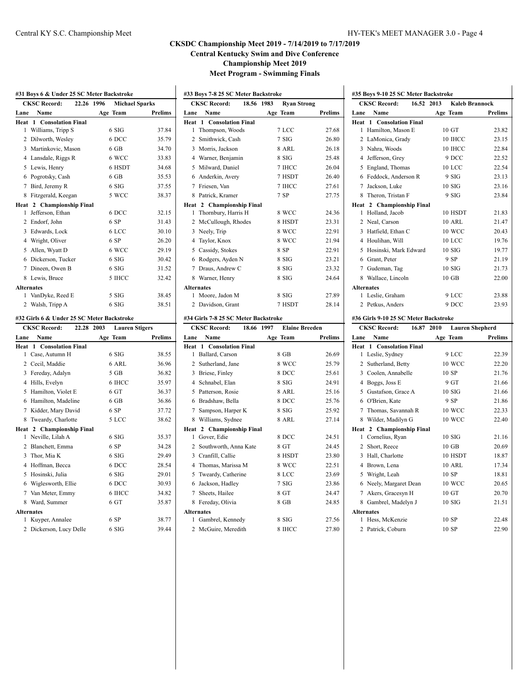|                     | <b>CKSC Record:</b><br>22.26               | 1996<br><b>Michael Sparks</b> |                         |
|---------------------|--------------------------------------------|-------------------------------|-------------------------|
| Lane                | Name                                       | Age Team                      | Prelims                 |
| Heat                | <b>Consolation Final</b><br>$\mathbf{1}$   |                               |                         |
| 1                   | Williams, Tripp S                          | 6 SIG                         | 37.84                   |
| $\overline{c}$      | Dilworth, Wesley                           | 6 DCC                         | 35.79                   |
|                     | 3 Martinkovic, Mason                       | $6$ GB                        | 34.70                   |
|                     | 4 Lansdale, Riggs R                        | 6 WCC                         | 33.83                   |
|                     | 5 Lewis, Henry                             | 6 HSDT                        | 34.68                   |
|                     | 6 Pogrotsky, Cash                          | $6$ GB                        | 35.53                   |
|                     | 7 Bird, Jeremy R                           | 6 SIG                         | 37.55                   |
|                     | 8 Fitzgerald, Keegan                       | 5 WCC                         | 38.37                   |
|                     | Heat 2 Championship Final                  |                               |                         |
| 1                   | Jefferson, Ethan                           | 6 DCC                         | 32.15                   |
|                     | 2 Endorf, John                             | 6 SP                          | 31.43                   |
|                     | 3 Edwards, Lock                            | 6 LCC                         | 30.10                   |
|                     | 4 Wright, Oliver                           | 6 SP                          | 26.20                   |
|                     | 5 Allen, Wyatt D                           | 6 WCC                         | 29.19                   |
|                     | 6 Dickerson, Tucker                        | 6 SIG                         | 30.42                   |
|                     | 7 Dineen, Owen B                           | 6 SIG                         | 31.52                   |
|                     | 8 Lewis, Bruce                             | 5 IHCC                        | 32.42                   |
|                     | <b>Alternates</b>                          |                               |                         |
| 1                   | VanDyke, Reed E                            | 5 SIG                         | 38.45                   |
| 2                   | Walsh, Tripp A                             | 6 SIG                         | 38.51                   |
|                     | #32 Girls 6 & Under 25 SC Meter Backstroke |                               |                         |
|                     | <b>CKSC Record:</b><br>22.28               | 2003<br><b>Lauren Stigers</b> |                         |
| Lane                | Name                                       | Age Team                      | Prelims                 |
| Heat                | <b>Consolation Final</b><br>1.             |                               |                         |
| 1                   | Case, Autumn H                             | 6 SIG                         | 38.55                   |
|                     | 2 Cecil, Maddie                            | 6 ARL                         | 36.96                   |
|                     | 3 Fereday, Adalyn                          | $5$ GB                        | 36.82                   |
|                     | 4 Hills, Evelyn                            | 6 IHCC                        | 35.97                   |
|                     | 5 Hamilton, Violet E                       | 6 GT                          | 36.37                   |
|                     | 6 Hamilton, Madeline                       | $6$ GB                        | 36.86                   |
|                     | 7 Kidder, Mary David                       | 6 SP                          | 37.72                   |
|                     | 8 Tweardy, Charlotte                       | 5 LCC                         | 38.62                   |
| Heat 2              | <b>Championship Final</b>                  |                               |                         |
| 1                   | Neville, Lilah A                           | 6 SIG                         | 35.37                   |
|                     | 2 Blanchett, Emma                          | 6 SP                          | 34.28                   |
| 3                   | Thor, Mia K                                | 6 SIG                         | 29.49                   |
|                     |                                            | 6 DCC                         | 28.54                   |
|                     | 4 Hoffman, Becca                           |                               |                         |
|                     | 5 Hosinski, Julia                          | 6 SIG                         |                         |
|                     | 6 Wiglesworth, Ellie                       | 6 DCC                         |                         |
|                     | 7 Van Meter, Emmy                          | 6 IHCC                        | 29.01<br>30.93<br>34.82 |
|                     | 8 Ward, Summer                             | 6 GT                          | 35.87                   |
|                     | <b>Alternates</b>                          |                               |                         |
| 1<br>$\overline{c}$ | Kuyper, Annalee                            | 6 SP<br>6 SIG                 | 38.77<br>39.44          |

|                   | <b>CKSC Record:</b><br>18.56 1983    | <b>Ryan Strong</b> |                |
|-------------------|--------------------------------------|--------------------|----------------|
| Lane              | Name                                 | Age Team           | <b>Prelims</b> |
| Heat 1            | <b>Consolation Final</b>             |                    |                |
| 1                 | Thompson, Woods                      | 7 LCC              | 27.68          |
| $\mathbf{2}$      | Smithwick, Cash                      | 7 SIG              | 26.80          |
| 3                 | Morris, Jackson                      | 8 ARL              | 26.18          |
| 4                 | Warner, Benjamin                     | 8 SIG              | 25.48          |
| 5                 | Milward, Daniel                      | 7 IHCC             | 26.04          |
| 6                 | Anderkin, Avery                      | 7 HSDT             | 26.40          |
| 7                 | Friesen, Van                         | 7 IHCC             | 27.61          |
| 8                 | Patrick, Kramer                      | 7 SP               | 27.75          |
| Heat              | 2 Championship Final                 |                    |                |
| 1                 | Thornbury, Harris H                  | 8 WCC              | 24.36          |
| 2                 | McCullough, Rhodes                   | 8 HSDT             | 23.31          |
| 3                 | Neely, Trip                          | 8 WCC              | 22.91          |
| 4                 | Taylor, Knox                         | 8 WCC              | 21.94          |
|                   | 5 Cassidy, Stokes                    | 8 SP               | 22.91          |
| 6                 | Rodgers, Ayden N                     | 8 SIG              | 23.21          |
| 7                 | Draus, Andrew C                      | 8 SIG              | 23.32          |
| 8                 | Warner, Henry                        | 8 SIG              | 24.64          |
| <b>Alternates</b> |                                      |                    |                |
| 1                 | Moore, Jadon M                       | 8 SIG              | 27.89          |
| $\overline{2}$    | Davidson, Grant                      | 7 HSDT             | 28.14          |
|                   | #34 Girls 7-8 25 SC Meter Backstroke |                    |                |

|                   | <b>CKSC Record:</b><br>18.66    | 1997     | <b>Elaine Breeden</b> |  |
|-------------------|---------------------------------|----------|-----------------------|--|
| Lane              | Name                            | Age Team | Prelims               |  |
|                   | <b>Heat 1 Consolation Final</b> |          |                       |  |
| 1                 | Ballard, Carson                 | 8 GB     | 26.69                 |  |
| 2                 | Sutherland, Jane                | 8 WCC    | 25.79                 |  |
| 3                 | Briese, Finley                  | 8 DCC    | 25.61                 |  |
| 4                 | Schnabel, Elan                  | 8 SIG    | 24.91                 |  |
| 5                 | Patterson, Rosie                | 8 ARL    | 25.16                 |  |
| 6                 | Bradshaw, Bella                 | 8 DCC    | 25.76                 |  |
| 7                 | Sampson, Harper K               | 8 SIG    | 25.92                 |  |
| 8                 | Williams, Sydnee                | 8 ARL    | 27.14                 |  |
| Heat              | 2 Championship Final            |          |                       |  |
| 1                 | Gover, Edie                     | 8 DCC    | 24.51                 |  |
| $\mathfrak{D}$    | Southworth, Anna Kate           | 8 GT     | 24.45                 |  |
| 3                 | Cranfill, Callie                | 8 HSDT   | 23.80                 |  |
| 4                 | Thomas, Marissa M               | 8 WCC    | 22.51                 |  |
| 5                 | Tweardy, Catherine              | 8 LCC    | 23.69                 |  |
| 6                 | Jackson, Hadley                 | 7SIG     | 23.86                 |  |
| 7                 | Sheets, Hailee                  | 8 GT     | 24.47                 |  |
| 8                 | Fereday, Olivia                 | 8 GB     | 24.85                 |  |
| <b>Alternates</b> |                                 |          |                       |  |
| 1                 | Gambrel, Kennedy                | 8 SIG    | 27.56                 |  |
| 2                 | McGuire, Meredith               | 8 IHCC   | 27.80                 |  |

|                   | <b>CKSC Record:</b><br>16.52 2013     |          | <b>Kaleb Brannock</b>  |                |
|-------------------|---------------------------------------|----------|------------------------|----------------|
| Lane              | <b>Name</b>                           |          | Age Team               | <b>Prelims</b> |
|                   | <b>Heat 1 Consolation Final</b>       |          |                        |                |
| 1                 | Hamilton, Mason E                     |          | 10 GT                  | 23.82          |
|                   | 2 LaMonica, Grady                     |          | 10 IHCC                | 23.15          |
|                   | 3 Nahra, Woods                        |          | 10 IHCC                | 22.84          |
|                   | 4 Jefferson, Grey                     |          | 9 DCC                  | 22.52          |
|                   | 5 England, Thomas                     |          | <b>10 LCC</b>          | 22.54          |
|                   | 6 Feddock, Anderson R                 |          | 9 SIG                  | 23.13          |
|                   | 7 Jackson, Luke                       |          | 10SIG                  | 23.16          |
|                   | 8 Theron, Tristan F                   |          | 9 SIG                  | 23.84          |
|                   | Heat 2 Championship Final             |          |                        |                |
| 1                 | Holland, Jacob                        |          | 10 HSDT                | 21.83          |
|                   | 2 Neal, Carson                        |          | <b>10 ARL</b>          | 21.47          |
|                   | 3 Hatfield, Ethan C                   |          | <b>10 WCC</b>          | 20.43          |
|                   | 4 Houlihan, Will                      |          | 10 LCC                 | 19.76          |
|                   | 5 Hosinski, Mark Edward               |          | 10SIG                  | 19.77          |
|                   | 6 Grant, Peter                        |          | 9 SP                   | 21.19          |
|                   | 7 Gudeman, Tag                        |          | $10$ SIG               | 21.73          |
|                   | 8 Wallace, Lincoln                    |          | $10$ GB                | 22.00          |
| <b>Alternates</b> |                                       |          |                        |                |
|                   | 1 Leslie, Graham                      |          | 9 LCC                  | 23.88          |
|                   | 2 Petkus, Anders                      |          | 9 DCC                  | 23.93          |
|                   | #36 Girls 9-10 25 SC Meter Backstroke |          |                        |                |
|                   | <b>CKSC Record:</b><br>16.87 2010     |          | <b>Lauren Shepherd</b> |                |
|                   | Lane Name                             | Age Team |                        | <b>Prelims</b> |
| Heat 1            | <b>Consolation Final</b>              |          |                        |                |
| 1                 | Leslie, Sydney                        |          | 9 LCC                  | 22.39          |
|                   | 2 Sutherland, Betty                   |          | <b>10 WCC</b>          | 22.20          |
|                   | 3 Coolen, Annabelle                   |          | 10 SP                  | 21.76          |
|                   | 4 Boggs, Joss E                       |          | 9 GT                   | 21.66          |
|                   | 5 Gustafson, Grace A                  |          | $10$ SIG               | 21.66          |
|                   | 6 O'Brien, Kate                       |          | 9 SP                   | 21.86          |
|                   | 7 Thomas, Savannah R                  |          | <b>10 WCC</b>          | 22.33          |
|                   | 8 Wilder, Madilyn G                   |          | <b>10 WCC</b>          | 22.40          |
|                   | Heat 2 Championship Final             |          |                        |                |
|                   | 1 Cornelius, Ryan                     |          | 10SIG                  | 21.16          |
|                   | 2 Short, Reece                        |          | $10$ GB                | 20.69          |
|                   | 3 Hall, Charlotte                     |          | 10 HSDT                | 18.87          |
|                   | 4 Brown, Lena                         |          | <b>10 ARL</b>          | 17.34          |
|                   | 5 Wright, Leah                        |          | 10 SP                  | 18.81          |
|                   | 6 Neely, Margaret Dean                |          | <b>10 WCC</b>          | 20.65          |
|                   | 7 Akers, Gracesyn H                   |          | 10 GT                  | 20.70          |
|                   | 8 Gambrel, Madelyn J                  |          | 10SIG                  | 21.51          |
| <b>Alternates</b> |                                       |          |                        |                |
| 1                 | Hess, McKenzie                        |          | 10 SP                  | 22.48          |

2 Patrick, Coburn 10 SP 22.90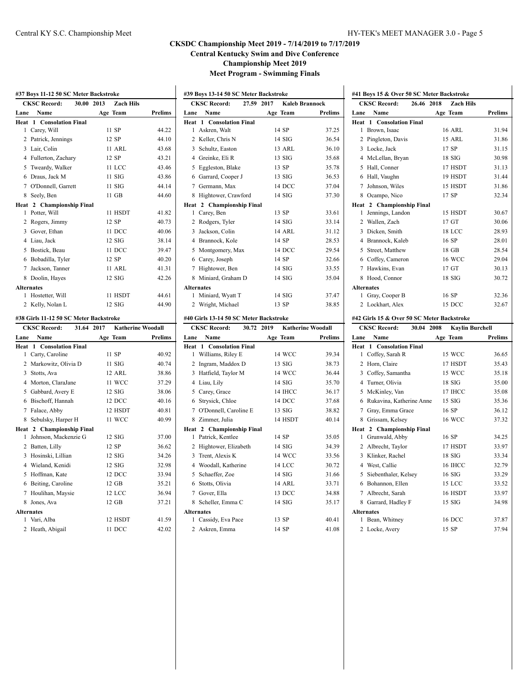|                   | #37 Boys 11-12 50 SC Meter Backstroke    |                                        |                |
|-------------------|------------------------------------------|----------------------------------------|----------------|
|                   | <b>CKSC Record:</b>                      | 30.00 2013<br><b>Zach Hils</b>         |                |
| Lane              | Name                                     | Age Team                               | Prelims        |
| Heat              | <b>Consolation Final</b><br>$\mathbf{1}$ |                                        |                |
| 1                 | Carey, Will                              | 11 SP                                  | 44.22          |
| $\overline{c}$    | Patrick, Jennings                        | 12 SP                                  | 44.10          |
| 3                 | Lair, Colin                              | <b>11 ARL</b>                          | 43.68          |
|                   | 4 Fullerton, Zachary                     | 12 SP                                  | 43.21          |
|                   | 5 Tweardy, Walker                        | 11 LCC                                 | 43.46          |
|                   | 6 Draus, Jack M                          | $11$ SIG                               | 43.86          |
|                   | 7 O'Donnell, Garrett                     | 11 SIG                                 | 44.14          |
| 8                 | Seely, Ben                               | 11 GB                                  | 44.60          |
|                   | Heat 2 Championship Final                |                                        |                |
| 1                 | Potter, Will                             | 11 HSDT                                | 41.82          |
|                   | 2 Rogers, Jimmy                          | 12 SP                                  | 40.73          |
|                   | 3 Gover, Ethan                           | 11 DCC                                 | 40.06          |
|                   | 4 Liau, Jack                             | 12 SIG                                 | 38.14          |
|                   | 5 Bostick, Beau                          | 11 DCC                                 | 39.47          |
|                   | 6 Bobadilla, Tyler                       | 12 SP                                  | 40.20          |
|                   | 7 Jackson, Tanner                        | 11 ARL                                 | 41.31          |
|                   | 8 Doolin, Hayes                          | 12 SIG                                 | 42.26          |
| <b>Alternates</b> |                                          |                                        |                |
| 1                 | Hostetter, Will                          | 11 HSDT                                | 44.61          |
| 2                 | Kelly, Nolan L                           | $12$ SIG                               | 44.90          |
|                   | #38 Girls 11-12 50 SC Meter Backstroke   |                                        |                |
|                   | <b>CKSC Record:</b>                      | 31.64 2017<br><b>Katherine Woodall</b> |                |
| Lane              | Name                                     | Age Team                               | <b>Prelims</b> |
| Heat              | 1 Consolation Final                      |                                        |                |
| 1                 | Carty, Caroline                          | 11 SP                                  | 40.92          |
|                   | 2 Markowitz, Olivia D                    | 11 SIG                                 | 40.74          |
|                   | 3 Stotts, Ava                            | 12 ARL                                 | 38.86          |
|                   | 4 Morton, ClaraJane                      | 11 WCC                                 | 37.29          |
|                   | 5 Gabbard, Avery E                       | 12 SIG                                 | 38.06          |
|                   | 6 Bischoff, Hannah                       | 12 DCC                                 | 40.16          |
|                   | 7 Falace, Abby                           | 12 HSDT                                | 40.81          |
| 8                 | Sebulsky, Harper H                       | 11 WCC                                 | 40.99          |
|                   | Heat 2 Championship Final                |                                        |                |
| 1                 | Johnson, Mackenzie G                     | $12$ SIG                               | 37.00          |
|                   | 2 Batten, Lilly                          | 12 SP                                  | 36.62          |
| 3                 | Hosinski, Lillian                        | $12$ SIG                               | 34.26          |
|                   | 4 Wieland, Kenidi                        | $12$ SIG                               | 32.98          |
|                   | 5 Hoffman, Kate                          | 12 DCC                                 | 33.94          |
|                   | 6 Beiting, Caroline                      | 12 GB                                  | 35.21          |
|                   | 7 Houlihan, Maysie                       | 12 LCC                                 | 36.94          |
|                   | 8 Jones, Ava                             | 12 GB                                  | 37.21          |
| <b>Alternates</b> |                                          |                                        |                |
| 1                 | Vari, Alba                               | 12 HSDT                                | 41.59          |
| 2                 | Heath, Abigail                           | 11 DCC                                 | 42.02          |

 $\mathcal{L}$ 

| #39 Boys 13-14 50 SC Meter Backstroke |                                        |  |            |                       |                |  |
|---------------------------------------|----------------------------------------|--|------------|-----------------------|----------------|--|
|                                       | <b>CKSC Record:</b>                    |  | 27.59 2017 | <b>Kaleb Brannock</b> |                |  |
| Lane                                  | Name                                   |  |            | Age Team              | <b>Prelims</b> |  |
|                                       | <b>Heat 1 Consolation Final</b>        |  |            |                       |                |  |
| 1                                     | Askren, Walt                           |  |            | 14 SP                 | 37.25          |  |
|                                       | 2 Keller, Chris N                      |  |            | $14$ SIG              | 36.54          |  |
| $\overline{3}$                        | Schultz, Easton                        |  |            | 13 ARL                | 36.10          |  |
| $\overline{4}$                        | Greinke, Eli R                         |  |            | $13$ SIG              | 35.68          |  |
| 5                                     | Eggleston, Blake                       |  |            | 13 SP                 | 35.78          |  |
| 6                                     | Garrard, Cooper J                      |  |            | $13$ SIG              | 36.53          |  |
| 7                                     | Germann, Max                           |  |            | 14 DCC                | 37.04          |  |
| 8                                     | Hightower, Crawford                    |  |            | $14$ SIG              | 37.30          |  |
|                                       | Heat 2 Championship Final              |  |            |                       |                |  |
| $\mathbf{1}$                          | Carey, Ben                             |  |            | 13 SP                 | 33.61          |  |
| 2                                     | Rodgers, Tyler                         |  |            | $14$ SIG              | 33.14          |  |
| 3                                     | Jackson, Colin                         |  |            | 14 ARL                | 31.12          |  |
| 4                                     | Brannock, Kole                         |  |            | 14 SP                 | 28.53          |  |
| 5                                     | Montgomery, Max                        |  |            | 14 DCC                | 29.54          |  |
|                                       | 6 Carey, Joseph                        |  |            | 14 SP                 | 32.66          |  |
| 7                                     | Hightower, Ben                         |  |            | $14$ SIG              | 33.55          |  |
| 8                                     | Miniard, Graham D                      |  |            | $14$ SIG              | 35.04          |  |
|                                       | <b>Alternates</b>                      |  |            |                       |                |  |
| 1                                     | Miniard, Wyatt T                       |  |            | $14$ SIG              | 37.47          |  |
|                                       | 2 Wright, Michael                      |  |            | 13 SP                 | 38.85          |  |
|                                       | #40 Girls 13-14 50 SC Meter Backstroke |  |            |                       |                |  |

|                   | <b>CKSC Record:</b><br>30.72 2019 | <b>Katherine Woodall</b> |         |  |
|-------------------|-----------------------------------|--------------------------|---------|--|
| Lane              | Name                              | Age Team                 | Prelims |  |
|                   | <b>Heat 1 Consolation Final</b>   |                          |         |  |
| 1                 | Williams, Riley E                 | 14 WCC                   | 39.34   |  |
|                   | 2 Ingram, Maddox D                | $13$ SIG                 | 38.73   |  |
|                   | 3 Hatfield, Taylor M              | 14 WCC                   | 36.44   |  |
|                   | 4 Liau, Lily                      | $14$ SIG                 | 35.70   |  |
|                   | 5 Carey, Grace                    | 14 IHCC                  | 36.17   |  |
|                   | 6 Strysick, Chloe                 | 14 DCC                   | 37.68   |  |
|                   | 7 O'Donnell, Caroline E           | $13$ SIG                 | 38.82   |  |
|                   | 8 Zimmer, Julia                   | 14 HSDT                  | 40.14   |  |
|                   | Heat 2 Championship Final         |                          |         |  |
| 1                 | Patrick, Kentlee                  | 14 SP                    | 35.05   |  |
|                   | 2 Hightower, Elizabeth            | $14$ SIG                 | 34.39   |  |
|                   | 3 Trent, Alexis K                 | 14 WCC                   | 33.56   |  |
|                   | 4 Woodall, Katherine              | 14 LCC                   | 30.72   |  |
|                   | 5 Schaeffer, Zoe                  | $14$ SIG                 | 31.66   |  |
|                   | 6 Stotts, Olivia                  | 14 ARL                   | 33.71   |  |
|                   | 7 Gover, Ella                     | 13 DCC                   | 34.88   |  |
|                   | 8 Scheller, Emma C                | $14$ SIG                 | 35.17   |  |
| <b>Alternates</b> |                                   |                          |         |  |
| 1                 | Cassidy, Eva Pace                 | 13 SP                    | 40.41   |  |
|                   | 2 Askren, Emma                    | 14 SP                    | 41.08   |  |

|                   | <b>CKSC Record:</b>  | 26.46 2018 | <b>Zach Hils</b> |                |
|-------------------|----------------------|------------|------------------|----------------|
| Lane              | Name                 |            | Age Team         | <b>Prelims</b> |
| Heat              | 1 Consolation Final  |            |                  |                |
| 1                 | Brown, Isaac         |            | 16 ARL           | 31.94          |
| 2                 | Pingleton, Davis     |            | 15 ARL           | 31.86          |
|                   | 3 Locke, Jack        |            | 17 SP            | 31.15          |
|                   | 4 McLellan, Bryan    |            | <b>18 SIG</b>    | 30.98          |
| 5.                | Hall, Conner         |            | 17 HSDT          | 31.13          |
| 6                 | Hall, Vaughn         |            | 19 HSDT          | 31.44          |
| 7                 | Johnson, Wiles       |            | 15 HSDT          | 31.86          |
| 8.                | Ocampo, Nico         |            | 17 SP            | 32.34          |
| Heat              | 2 Championship Final |            |                  |                |
| 1                 | Jennings, Landon     |            | 15 HSDT          | 30.67          |
| 2                 | Wallen, Zach         |            | 17 <sub>GT</sub> | 30.06          |
| $\mathcal{E}$     | Dicken, Smith        |            | 18 LCC           | 28.93          |
|                   | 4 Brannock, Kaleb    |            | 16 SP            | 28.01          |
| 5.                | Street, Matthew      |            | 18 GB            | 28.54          |
|                   | 6 Coffey, Cameron    |            | <b>16 WCC</b>    | 29.04          |
| 7                 | Hawkins, Evan        |            | 17 GT            | 30.13          |
| 8                 | Hood, Connor         |            | $18$ SIG         | 30.72          |
| <b>Alternates</b> |                      |            |                  |                |
| L                 | Gray, Cooper B       |            | 16 SP            | 32.36          |
| 2                 | Lockhart, Alex       |            | 15 DCC           | 32.67          |

|  |  |  |  | #42 Girls 15 & Over 50 SC Meter Backstroke |  |
|--|--|--|--|--------------------------------------------|--|
|  |  |  |  |                                            |  |

|                             | <b>CKSC Record:</b><br>30.04 2008 | <b>Kaylin Burchell</b> |                |
|-----------------------------|-----------------------------------|------------------------|----------------|
| Lane                        | Name                              | Age Team               | <b>Prelims</b> |
|                             | <b>Heat 1 Consolation Final</b>   |                        |                |
| 1                           | Coffey, Sarah R                   | 15 WCC                 | 36.65          |
| $\mathcal{D}_{\mathcal{A}}$ | Horn, Claire                      | 17 HSDT                | 35.43          |
| 3                           | Coffey, Samantha                  | 15 WCC                 | 35.18          |
| $\overline{4}$              | Turner, Olivia                    | $18$ SIG               | 35.00          |
| 5                           | McKinley, Van                     | 17 IHCC                | 35.08          |
| 6                           | Rukavina, Katherine Anne          | $15$ SIG               | 35.36          |
| 7                           | Gray, Emma Grace                  | 16 SP                  | 36.12          |
| 8                           | Grissam, Kelsey                   | 16 WCC                 | 37.32          |
|                             | Heat 2 Championship Final         |                        |                |
| 1                           | Grunwald, Abby                    | 16 SP                  | 34.25          |
| 2                           | Albrecht, Taylor                  | 17 HSDT                | 33.97          |
| 3                           | Klinker, Rachel                   | $18$ SIG               | 33.34          |
|                             | 4 West, Callie                    | <b>16 IHCC</b>         | 32.79          |
| 5                           | Siebenthaler, Kelsey              | $16$ SIG               | 33.29          |
| 6                           | Bohannon, Ellen                   | <b>15 LCC</b>          | 33.52          |
| 7                           | Albrecht, Sarah                   | 16 HSDT                | 33.97          |
| 8                           | Garrard, Hadley F                 | $15$ SIG               | 34.98          |
|                             | <b>Alternates</b>                 |                        |                |
| 1                           | Bean, Whitney                     | <b>16 DCC</b>          | 37.87          |
|                             | 2 Locke, Avery                    | 15 SP                  | 37.94          |
|                             |                                   |                        |                |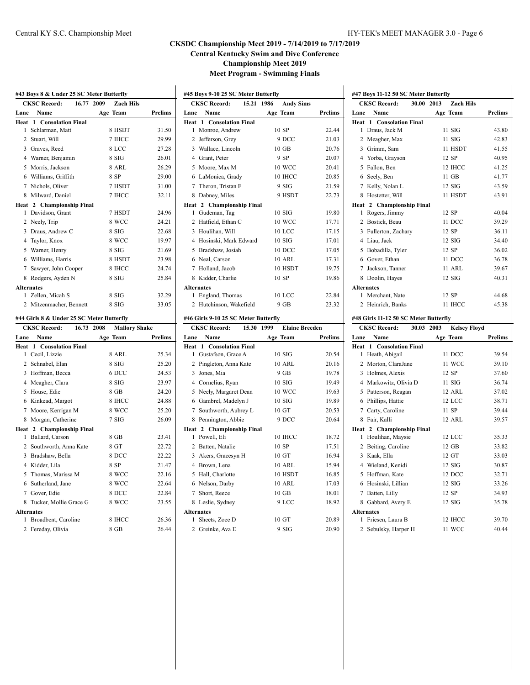| 16.77<br><b>CKSC Record:</b><br>2009<br><b>Zach Hils</b><br>Name<br>Age Team<br><b>Prelims</b><br>Lane<br>Heat<br>1 Consolation Final<br>Schlarman, Matt<br>8 HSDT<br>1<br>31.50<br>$\overline{c}$<br>Stuart, Will<br>7 IHCC<br>29.99<br>8 LCC<br>3<br>Graves, Reed<br>27.28<br>8 SIG<br>4 Warner, Benjamin<br>26.01<br>Morris, Jackson<br>8 ARL<br>26.29<br>5<br>Williams, Griffith<br>8 SP<br>6<br>29.00<br>Nichols, Oliver<br>31.00<br>7<br>7 HSDT<br>Milward, Daniel<br>7 IHCC<br>8<br>32.11<br>Heat 2 Championship Final<br>Davidson, Grant<br>7 HSDT<br>24.96<br>1<br>$\overline{c}$<br>8 WCC<br>24.21<br>Neely, Trip<br>Draus, Andrew C<br>8 SIG<br>3<br>22.68<br>$\overline{4}$<br>Taylor, Knox<br>8 WCC<br>19.97<br>Warner, Henry<br>8 SIG<br>21.69<br>5<br>6 Williams, Harris<br>8 HSDT<br>23.98<br>24.74<br>Sawyer, John Cooper<br>8 IHCC<br>7<br>25.84<br>8<br>Rodgers, Ayden N<br>8 SIG<br><b>Alternates</b><br>Zellen, Micah S<br>8 SIG<br>32.29<br>1<br>Mitzenmacher, Bennett<br>8 SIG<br>33.05<br>2<br>#44 Girls 8 & Under 25 SC Meter Butterfly<br>CKSC Record: 16.73<br>2008<br><b>Mallory Shake</b><br>Lane<br>Name<br>Age Team<br>Prelims<br>Heat<br><b>Consolation Final</b><br>1<br>Cecil, Lizzie<br>8 ARL<br>25.34<br>1<br>$\overline{c}$<br>Schnabel, Elan<br>8 SIG<br>25.20<br>Hoffman, Becca<br>6 DCC<br>24.53<br>3<br>23.97<br>4<br>Meagher, Clara<br>8 SIG<br>5.<br>House, Edie<br>8 GB<br>24.20<br>Kinkead, Margot<br>8 IHCC<br>24.88<br>6<br>Moore, Kerrigan M<br>8 WCC<br>25.20<br>7<br>7SIG<br>26.09<br>8<br>Morgan, Catherine<br>Heat 2<br><b>Championship Final</b><br>Ballard, Carson<br>1<br>8 GB<br>23.41<br>Southworth, Anna Kate<br>$\overline{2}$<br>8 GT<br>22.72<br>Bradshaw, Bella<br>8 DCC<br>22.22<br>3<br>4 Kidder, Lila<br>8 SP<br>21.47<br>5<br>Thomas, Marissa M<br>8 WCC<br>22.16<br>Sutherland, Jane<br>8 WCC<br>22.64<br>6<br>Gover, Edie<br>8 DCC<br>22.84<br>7<br>Tucker, Mollie Grace G<br>8 WCC<br>23.55<br>8<br><b>Alternates</b><br>Broadbent, Caroline<br>8 IHCC<br>26.36<br>1<br>8 GB<br>26.44<br>2<br>Fereday, Olivia | #43 Boys 8 & Under 25 SC Meter Butterfly |  |  |  |  |  |
|------------------------------------------------------------------------------------------------------------------------------------------------------------------------------------------------------------------------------------------------------------------------------------------------------------------------------------------------------------------------------------------------------------------------------------------------------------------------------------------------------------------------------------------------------------------------------------------------------------------------------------------------------------------------------------------------------------------------------------------------------------------------------------------------------------------------------------------------------------------------------------------------------------------------------------------------------------------------------------------------------------------------------------------------------------------------------------------------------------------------------------------------------------------------------------------------------------------------------------------------------------------------------------------------------------------------------------------------------------------------------------------------------------------------------------------------------------------------------------------------------------------------------------------------------------------------------------------------------------------------------------------------------------------------------------------------------------------------------------------------------------------------------------------------------------------------------------------------------------------------------------------------------------------------------------------------------------------------------------------------------------------------------------------------------------------------------------|------------------------------------------|--|--|--|--|--|
|                                                                                                                                                                                                                                                                                                                                                                                                                                                                                                                                                                                                                                                                                                                                                                                                                                                                                                                                                                                                                                                                                                                                                                                                                                                                                                                                                                                                                                                                                                                                                                                                                                                                                                                                                                                                                                                                                                                                                                                                                                                                                    |                                          |  |  |  |  |  |
|                                                                                                                                                                                                                                                                                                                                                                                                                                                                                                                                                                                                                                                                                                                                                                                                                                                                                                                                                                                                                                                                                                                                                                                                                                                                                                                                                                                                                                                                                                                                                                                                                                                                                                                                                                                                                                                                                                                                                                                                                                                                                    |                                          |  |  |  |  |  |
|                                                                                                                                                                                                                                                                                                                                                                                                                                                                                                                                                                                                                                                                                                                                                                                                                                                                                                                                                                                                                                                                                                                                                                                                                                                                                                                                                                                                                                                                                                                                                                                                                                                                                                                                                                                                                                                                                                                                                                                                                                                                                    |                                          |  |  |  |  |  |
|                                                                                                                                                                                                                                                                                                                                                                                                                                                                                                                                                                                                                                                                                                                                                                                                                                                                                                                                                                                                                                                                                                                                                                                                                                                                                                                                                                                                                                                                                                                                                                                                                                                                                                                                                                                                                                                                                                                                                                                                                                                                                    |                                          |  |  |  |  |  |
|                                                                                                                                                                                                                                                                                                                                                                                                                                                                                                                                                                                                                                                                                                                                                                                                                                                                                                                                                                                                                                                                                                                                                                                                                                                                                                                                                                                                                                                                                                                                                                                                                                                                                                                                                                                                                                                                                                                                                                                                                                                                                    |                                          |  |  |  |  |  |
|                                                                                                                                                                                                                                                                                                                                                                                                                                                                                                                                                                                                                                                                                                                                                                                                                                                                                                                                                                                                                                                                                                                                                                                                                                                                                                                                                                                                                                                                                                                                                                                                                                                                                                                                                                                                                                                                                                                                                                                                                                                                                    |                                          |  |  |  |  |  |
|                                                                                                                                                                                                                                                                                                                                                                                                                                                                                                                                                                                                                                                                                                                                                                                                                                                                                                                                                                                                                                                                                                                                                                                                                                                                                                                                                                                                                                                                                                                                                                                                                                                                                                                                                                                                                                                                                                                                                                                                                                                                                    |                                          |  |  |  |  |  |
|                                                                                                                                                                                                                                                                                                                                                                                                                                                                                                                                                                                                                                                                                                                                                                                                                                                                                                                                                                                                                                                                                                                                                                                                                                                                                                                                                                                                                                                                                                                                                                                                                                                                                                                                                                                                                                                                                                                                                                                                                                                                                    |                                          |  |  |  |  |  |
|                                                                                                                                                                                                                                                                                                                                                                                                                                                                                                                                                                                                                                                                                                                                                                                                                                                                                                                                                                                                                                                                                                                                                                                                                                                                                                                                                                                                                                                                                                                                                                                                                                                                                                                                                                                                                                                                                                                                                                                                                                                                                    |                                          |  |  |  |  |  |
|                                                                                                                                                                                                                                                                                                                                                                                                                                                                                                                                                                                                                                                                                                                                                                                                                                                                                                                                                                                                                                                                                                                                                                                                                                                                                                                                                                                                                                                                                                                                                                                                                                                                                                                                                                                                                                                                                                                                                                                                                                                                                    |                                          |  |  |  |  |  |
|                                                                                                                                                                                                                                                                                                                                                                                                                                                                                                                                                                                                                                                                                                                                                                                                                                                                                                                                                                                                                                                                                                                                                                                                                                                                                                                                                                                                                                                                                                                                                                                                                                                                                                                                                                                                                                                                                                                                                                                                                                                                                    |                                          |  |  |  |  |  |
|                                                                                                                                                                                                                                                                                                                                                                                                                                                                                                                                                                                                                                                                                                                                                                                                                                                                                                                                                                                                                                                                                                                                                                                                                                                                                                                                                                                                                                                                                                                                                                                                                                                                                                                                                                                                                                                                                                                                                                                                                                                                                    |                                          |  |  |  |  |  |
|                                                                                                                                                                                                                                                                                                                                                                                                                                                                                                                                                                                                                                                                                                                                                                                                                                                                                                                                                                                                                                                                                                                                                                                                                                                                                                                                                                                                                                                                                                                                                                                                                                                                                                                                                                                                                                                                                                                                                                                                                                                                                    |                                          |  |  |  |  |  |
|                                                                                                                                                                                                                                                                                                                                                                                                                                                                                                                                                                                                                                                                                                                                                                                                                                                                                                                                                                                                                                                                                                                                                                                                                                                                                                                                                                                                                                                                                                                                                                                                                                                                                                                                                                                                                                                                                                                                                                                                                                                                                    |                                          |  |  |  |  |  |
|                                                                                                                                                                                                                                                                                                                                                                                                                                                                                                                                                                                                                                                                                                                                                                                                                                                                                                                                                                                                                                                                                                                                                                                                                                                                                                                                                                                                                                                                                                                                                                                                                                                                                                                                                                                                                                                                                                                                                                                                                                                                                    |                                          |  |  |  |  |  |
|                                                                                                                                                                                                                                                                                                                                                                                                                                                                                                                                                                                                                                                                                                                                                                                                                                                                                                                                                                                                                                                                                                                                                                                                                                                                                                                                                                                                                                                                                                                                                                                                                                                                                                                                                                                                                                                                                                                                                                                                                                                                                    |                                          |  |  |  |  |  |
|                                                                                                                                                                                                                                                                                                                                                                                                                                                                                                                                                                                                                                                                                                                                                                                                                                                                                                                                                                                                                                                                                                                                                                                                                                                                                                                                                                                                                                                                                                                                                                                                                                                                                                                                                                                                                                                                                                                                                                                                                                                                                    |                                          |  |  |  |  |  |
|                                                                                                                                                                                                                                                                                                                                                                                                                                                                                                                                                                                                                                                                                                                                                                                                                                                                                                                                                                                                                                                                                                                                                                                                                                                                                                                                                                                                                                                                                                                                                                                                                                                                                                                                                                                                                                                                                                                                                                                                                                                                                    |                                          |  |  |  |  |  |
|                                                                                                                                                                                                                                                                                                                                                                                                                                                                                                                                                                                                                                                                                                                                                                                                                                                                                                                                                                                                                                                                                                                                                                                                                                                                                                                                                                                                                                                                                                                                                                                                                                                                                                                                                                                                                                                                                                                                                                                                                                                                                    |                                          |  |  |  |  |  |
|                                                                                                                                                                                                                                                                                                                                                                                                                                                                                                                                                                                                                                                                                                                                                                                                                                                                                                                                                                                                                                                                                                                                                                                                                                                                                                                                                                                                                                                                                                                                                                                                                                                                                                                                                                                                                                                                                                                                                                                                                                                                                    |                                          |  |  |  |  |  |
|                                                                                                                                                                                                                                                                                                                                                                                                                                                                                                                                                                                                                                                                                                                                                                                                                                                                                                                                                                                                                                                                                                                                                                                                                                                                                                                                                                                                                                                                                                                                                                                                                                                                                                                                                                                                                                                                                                                                                                                                                                                                                    |                                          |  |  |  |  |  |
|                                                                                                                                                                                                                                                                                                                                                                                                                                                                                                                                                                                                                                                                                                                                                                                                                                                                                                                                                                                                                                                                                                                                                                                                                                                                                                                                                                                                                                                                                                                                                                                                                                                                                                                                                                                                                                                                                                                                                                                                                                                                                    |                                          |  |  |  |  |  |
|                                                                                                                                                                                                                                                                                                                                                                                                                                                                                                                                                                                                                                                                                                                                                                                                                                                                                                                                                                                                                                                                                                                                                                                                                                                                                                                                                                                                                                                                                                                                                                                                                                                                                                                                                                                                                                                                                                                                                                                                                                                                                    |                                          |  |  |  |  |  |
|                                                                                                                                                                                                                                                                                                                                                                                                                                                                                                                                                                                                                                                                                                                                                                                                                                                                                                                                                                                                                                                                                                                                                                                                                                                                                                                                                                                                                                                                                                                                                                                                                                                                                                                                                                                                                                                                                                                                                                                                                                                                                    |                                          |  |  |  |  |  |
|                                                                                                                                                                                                                                                                                                                                                                                                                                                                                                                                                                                                                                                                                                                                                                                                                                                                                                                                                                                                                                                                                                                                                                                                                                                                                                                                                                                                                                                                                                                                                                                                                                                                                                                                                                                                                                                                                                                                                                                                                                                                                    |                                          |  |  |  |  |  |
|                                                                                                                                                                                                                                                                                                                                                                                                                                                                                                                                                                                                                                                                                                                                                                                                                                                                                                                                                                                                                                                                                                                                                                                                                                                                                                                                                                                                                                                                                                                                                                                                                                                                                                                                                                                                                                                                                                                                                                                                                                                                                    |                                          |  |  |  |  |  |
|                                                                                                                                                                                                                                                                                                                                                                                                                                                                                                                                                                                                                                                                                                                                                                                                                                                                                                                                                                                                                                                                                                                                                                                                                                                                                                                                                                                                                                                                                                                                                                                                                                                                                                                                                                                                                                                                                                                                                                                                                                                                                    |                                          |  |  |  |  |  |
|                                                                                                                                                                                                                                                                                                                                                                                                                                                                                                                                                                                                                                                                                                                                                                                                                                                                                                                                                                                                                                                                                                                                                                                                                                                                                                                                                                                                                                                                                                                                                                                                                                                                                                                                                                                                                                                                                                                                                                                                                                                                                    |                                          |  |  |  |  |  |
|                                                                                                                                                                                                                                                                                                                                                                                                                                                                                                                                                                                                                                                                                                                                                                                                                                                                                                                                                                                                                                                                                                                                                                                                                                                                                                                                                                                                                                                                                                                                                                                                                                                                                                                                                                                                                                                                                                                                                                                                                                                                                    |                                          |  |  |  |  |  |
|                                                                                                                                                                                                                                                                                                                                                                                                                                                                                                                                                                                                                                                                                                                                                                                                                                                                                                                                                                                                                                                                                                                                                                                                                                                                                                                                                                                                                                                                                                                                                                                                                                                                                                                                                                                                                                                                                                                                                                                                                                                                                    |                                          |  |  |  |  |  |
|                                                                                                                                                                                                                                                                                                                                                                                                                                                                                                                                                                                                                                                                                                                                                                                                                                                                                                                                                                                                                                                                                                                                                                                                                                                                                                                                                                                                                                                                                                                                                                                                                                                                                                                                                                                                                                                                                                                                                                                                                                                                                    |                                          |  |  |  |  |  |
|                                                                                                                                                                                                                                                                                                                                                                                                                                                                                                                                                                                                                                                                                                                                                                                                                                                                                                                                                                                                                                                                                                                                                                                                                                                                                                                                                                                                                                                                                                                                                                                                                                                                                                                                                                                                                                                                                                                                                                                                                                                                                    |                                          |  |  |  |  |  |
|                                                                                                                                                                                                                                                                                                                                                                                                                                                                                                                                                                                                                                                                                                                                                                                                                                                                                                                                                                                                                                                                                                                                                                                                                                                                                                                                                                                                                                                                                                                                                                                                                                                                                                                                                                                                                                                                                                                                                                                                                                                                                    |                                          |  |  |  |  |  |
|                                                                                                                                                                                                                                                                                                                                                                                                                                                                                                                                                                                                                                                                                                                                                                                                                                                                                                                                                                                                                                                                                                                                                                                                                                                                                                                                                                                                                                                                                                                                                                                                                                                                                                                                                                                                                                                                                                                                                                                                                                                                                    |                                          |  |  |  |  |  |
|                                                                                                                                                                                                                                                                                                                                                                                                                                                                                                                                                                                                                                                                                                                                                                                                                                                                                                                                                                                                                                                                                                                                                                                                                                                                                                                                                                                                                                                                                                                                                                                                                                                                                                                                                                                                                                                                                                                                                                                                                                                                                    |                                          |  |  |  |  |  |
|                                                                                                                                                                                                                                                                                                                                                                                                                                                                                                                                                                                                                                                                                                                                                                                                                                                                                                                                                                                                                                                                                                                                                                                                                                                                                                                                                                                                                                                                                                                                                                                                                                                                                                                                                                                                                                                                                                                                                                                                                                                                                    |                                          |  |  |  |  |  |
|                                                                                                                                                                                                                                                                                                                                                                                                                                                                                                                                                                                                                                                                                                                                                                                                                                                                                                                                                                                                                                                                                                                                                                                                                                                                                                                                                                                                                                                                                                                                                                                                                                                                                                                                                                                                                                                                                                                                                                                                                                                                                    |                                          |  |  |  |  |  |
|                                                                                                                                                                                                                                                                                                                                                                                                                                                                                                                                                                                                                                                                                                                                                                                                                                                                                                                                                                                                                                                                                                                                                                                                                                                                                                                                                                                                                                                                                                                                                                                                                                                                                                                                                                                                                                                                                                                                                                                                                                                                                    |                                          |  |  |  |  |  |
|                                                                                                                                                                                                                                                                                                                                                                                                                                                                                                                                                                                                                                                                                                                                                                                                                                                                                                                                                                                                                                                                                                                                                                                                                                                                                                                                                                                                                                                                                                                                                                                                                                                                                                                                                                                                                                                                                                                                                                                                                                                                                    |                                          |  |  |  |  |  |
|                                                                                                                                                                                                                                                                                                                                                                                                                                                                                                                                                                                                                                                                                                                                                                                                                                                                                                                                                                                                                                                                                                                                                                                                                                                                                                                                                                                                                                                                                                                                                                                                                                                                                                                                                                                                                                                                                                                                                                                                                                                                                    |                                          |  |  |  |  |  |
|                                                                                                                                                                                                                                                                                                                                                                                                                                                                                                                                                                                                                                                                                                                                                                                                                                                                                                                                                                                                                                                                                                                                                                                                                                                                                                                                                                                                                                                                                                                                                                                                                                                                                                                                                                                                                                                                                                                                                                                                                                                                                    |                                          |  |  |  |  |  |
|                                                                                                                                                                                                                                                                                                                                                                                                                                                                                                                                                                                                                                                                                                                                                                                                                                                                                                                                                                                                                                                                                                                                                                                                                                                                                                                                                                                                                                                                                                                                                                                                                                                                                                                                                                                                                                                                                                                                                                                                                                                                                    |                                          |  |  |  |  |  |
|                                                                                                                                                                                                                                                                                                                                                                                                                                                                                                                                                                                                                                                                                                                                                                                                                                                                                                                                                                                                                                                                                                                                                                                                                                                                                                                                                                                                                                                                                                                                                                                                                                                                                                                                                                                                                                                                                                                                                                                                                                                                                    |                                          |  |  |  |  |  |
|                                                                                                                                                                                                                                                                                                                                                                                                                                                                                                                                                                                                                                                                                                                                                                                                                                                                                                                                                                                                                                                                                                                                                                                                                                                                                                                                                                                                                                                                                                                                                                                                                                                                                                                                                                                                                                                                                                                                                                                                                                                                                    |                                          |  |  |  |  |  |
|                                                                                                                                                                                                                                                                                                                                                                                                                                                                                                                                                                                                                                                                                                                                                                                                                                                                                                                                                                                                                                                                                                                                                                                                                                                                                                                                                                                                                                                                                                                                                                                                                                                                                                                                                                                                                                                                                                                                                                                                                                                                                    |                                          |  |  |  |  |  |
|                                                                                                                                                                                                                                                                                                                                                                                                                                                                                                                                                                                                                                                                                                                                                                                                                                                                                                                                                                                                                                                                                                                                                                                                                                                                                                                                                                                                                                                                                                                                                                                                                                                                                                                                                                                                                                                                                                                                                                                                                                                                                    |                                          |  |  |  |  |  |
|                                                                                                                                                                                                                                                                                                                                                                                                                                                                                                                                                                                                                                                                                                                                                                                                                                                                                                                                                                                                                                                                                                                                                                                                                                                                                                                                                                                                                                                                                                                                                                                                                                                                                                                                                                                                                                                                                                                                                                                                                                                                                    |                                          |  |  |  |  |  |

| #45 Boys 9-10 25 SC Meter Butterfly |                                 |            |  |                  |                |
|-------------------------------------|---------------------------------|------------|--|------------------|----------------|
|                                     | <b>CKSC Record:</b>             | 15.21 1986 |  | <b>Andy Sims</b> |                |
| Lane                                | Name                            |            |  | Age Team         | <b>Prelims</b> |
|                                     | <b>Heat 1 Consolation Final</b> |            |  |                  |                |
| $\mathbf{1}$                        | Monroe, Andrew                  |            |  | 10 SP            | 22.44          |
| 2                                   | Jefferson, Grey                 |            |  | 9 DCC            | 21.03          |
| 3                                   | Wallace, Lincoln                |            |  | $10 \text{ GB}$  | 20.76          |
| 4                                   | Grant, Peter                    |            |  | 9 SP             | 20.07          |
| 5                                   | Moore, Max M                    |            |  | 10 WCC           | 20.41          |
| 6                                   | LaMonica, Grady                 |            |  | 10 IHCC          | 20.85          |
| 7                                   | Theron, Tristan F               |            |  | 9 SIG            | 21.59          |
| 8                                   | Dabney, Miles                   |            |  | 9 HSDT           | 22.73          |
|                                     | Heat 2 Championship Final       |            |  |                  |                |
| 1                                   | Gudeman, Tag                    |            |  | 10SIG            | 19.80          |
| $\mathcal{L}$                       | Hatfield, Ethan C               |            |  | 10 WCC           | 17.71          |
| 3                                   | Houlihan, Will                  |            |  | 10 LCC           | 17.15          |
| 4                                   | Hosinski, Mark Edward           |            |  | 10SIG            | 17.01          |
| 5.                                  | Bradshaw, Josiah                |            |  | 10 DCC           | 17.05          |
| 6                                   | Neal, Carson                    |            |  | 10 ARL           | 17.31          |
| 7                                   | Holland, Jacob                  |            |  | 10 HSDT          | 19.75          |
| 8                                   | Kidder, Charlie                 |            |  | 10 SP            | 19.86          |
|                                     | <b>Alternates</b>               |            |  |                  |                |
| 1                                   | England, Thomas                 |            |  | <b>10 LCC</b>    | 22.84          |
| 2                                   | Hutchinson, Wakefield           |            |  | 9 GB             | 23.32          |
|                                     |                                 |            |  |                  |                |

#### **#46 Girls 9-10 25 SC Meter Butterfly**

|                   | <b>CKSC Record:</b><br>15.30    | 1999<br><b>Elaine Breeden</b> |         |
|-------------------|---------------------------------|-------------------------------|---------|
| Lane              | Name                            | Age Team                      | Prelims |
|                   | <b>Heat 1 Consolation Final</b> |                               |         |
| $\mathbf{1}$      | Gustafson, Grace A              | 10SIG                         | 20.54   |
|                   | 2 Pingleton, Anna Kate          | <b>10 ARL</b>                 | 20.16   |
|                   | 3 Jones, Mia                    | 9 GB                          | 19.78   |
|                   | 4 Cornelius, Ryan               | 10SIG                         | 19.49   |
|                   | 5 Neely, Margaret Dean          | <b>10 WCC</b>                 | 19.63   |
|                   | 6 Gambrel, Madelyn J            | 10SIG                         | 19.89   |
|                   | 7 Southworth, Aubrey L          | 10 GT                         | 20.53   |
|                   | 8 Pennington, Abbie             | 9 DCC                         | 20.64   |
|                   | Heat 2 Championship Final       |                               |         |
| 1                 | Powell, Eli                     | 10 IHCC                       | 18.72   |
|                   | 2 Batten, Natalie               | 10 SP                         | 17.51   |
|                   | 3 Akers, Gracesyn H             | $10 \text{ GT}$               | 16.94   |
|                   | 4 Brown, Lena                   | 10 ARL                        | 15.94   |
|                   | 5 Hall, Charlotte               | 10 HSDT                       | 16.85   |
|                   | 6 Nelson, Darby                 | <b>10 ARL</b>                 | 17.03   |
| 7                 | Short, Reece                    | 10 GB                         | 18.01   |
|                   | 8 Leslie, Sydney                | 9 LCC                         | 18.92   |
| <b>Alternates</b> |                                 |                               |         |
| 1                 | Sheets, Zoee D                  | 10 GT                         | 20.89   |
|                   | 2 Greinke, Ava E                | 9 SIG                         | 20.90   |

| #47 Boys 11-12 50 SC Meter Butterfly |                                       |            |                  |                |  |
|--------------------------------------|---------------------------------------|------------|------------------|----------------|--|
|                                      | <b>CKSC Record:</b>                   | 30.00 2013 | <b>Zach Hils</b> |                |  |
| Lane                                 | Name                                  |            | Age Team         | <b>Prelims</b> |  |
| Heat                                 | 1 Consolation Final                   |            |                  |                |  |
| 1                                    | Draus, Jack M                         |            | $11$ SIG         | 43.80          |  |
| 2                                    | Meagher, Max                          |            | $11$ SIG         | 42.83          |  |
| 3                                    | Grimm, Sam                            |            | 11 HSDT          | 41.55          |  |
| 4                                    | Yorba, Grayson                        |            | 12 SP            | 40.95          |  |
| 5                                    | Fallon, Ben                           |            | 12 IHCC          | 41.25          |  |
| 6                                    | Seely, Ben                            |            | $11$ GB          | 41.77          |  |
| 7                                    | Kelly, Nolan L                        |            | $12$ SIG         | 43.59          |  |
| 8                                    | Hostetter, Will                       |            | 11 HSDT          | 43.91          |  |
|                                      | Heat 2 Championship Final             |            |                  |                |  |
| 1                                    | Rogers, Jimmy                         |            | 12 SP            | 40.04          |  |
| 2                                    | Bostick, Beau                         |            | 11 DCC           | 39.29          |  |
| 3                                    | Fullerton, Zachary                    |            | 12 SP            | 36.11          |  |
| 4                                    | Liau, Jack                            |            | $12$ SIG         | 34.40          |  |
|                                      | 5 Bobadilla, Tyler                    |            | 12 SP            | 36.02          |  |
|                                      | 6 Gover, Ethan                        |            | 11 DCC           | 36.78          |  |
| 7                                    | Jackson, Tanner                       |            | 11 ARL           | 39.67          |  |
| 8                                    | Doolin, Hayes                         |            | $12$ SIG         | 40.31          |  |
|                                      | <b>Alternates</b>                     |            |                  |                |  |
| 1                                    | Merchant, Nate                        |            | 12 SP            | 44.68          |  |
| 2                                    | Heinrich, Banks                       |            | 11 IHCC          | 45.38          |  |
|                                      | #48 Girls 11-12 50 SC Meter Butterfly |            |                  |                |  |

|      | <b>CKSC Record:</b><br>30.03    | 2003<br><b>Kelsey Floyd</b> |                |
|------|---------------------------------|-----------------------------|----------------|
| Lane | Name                            | Age Team                    | <b>Prelims</b> |
|      | <b>Heat 1 Consolation Final</b> |                             |                |
| 1    | Heath, Abigail                  | 11 DCC                      | 39.54          |
| 2    | Morton, ClaraJane               | 11 WCC                      | 39.10          |
|      | 3 Holmes, Alexis                | 12 SP                       | 37.60          |
|      | 4 Markowitz, Olivia D           | $11$ SIG                    | 36.74          |
|      | 5 Patterson, Reagan             | 12 ARL                      | 37.02          |
| 6    | Phillips, Hattie                | 12 LCC                      | 38.71          |
|      | 7 Carty, Caroline               | 11 SP                       | 39.44          |
| 8    | Fair, Kalli                     | 12 ARL                      | 39.57          |
|      | Heat 2 Championship Final       |                             |                |
| 1    | Houlihan, Maysie                | 12 LCC                      | 35.33          |
| 2    | Beiting, Caroline               | 12 GB                       | 33.82          |
|      | 3 Kaak, Ella                    | $12 \text{ GT}$             | 33.03          |
|      | 4 Wieland, Kenidi               | $12$ SIG                    | 30.87          |
|      | 5 Hoffman, Kate                 | 12 DCC                      | 32.71          |
|      | 6 Hosinski, Lillian             | $12$ SIG                    | 33.26          |
| 7    | Batten, Lilly                   | 12 SP                       | 34.93          |
|      | 8 Gabbard, Avery E              | $12$ SIG                    | 35.78          |
|      | <b>Alternates</b>               |                             |                |
| 1    | Friesen, Laura B                | 12 IHCC                     | 39.70          |
| 2    | Sebulsky, Harper H              | 11 WCC                      | 40.44          |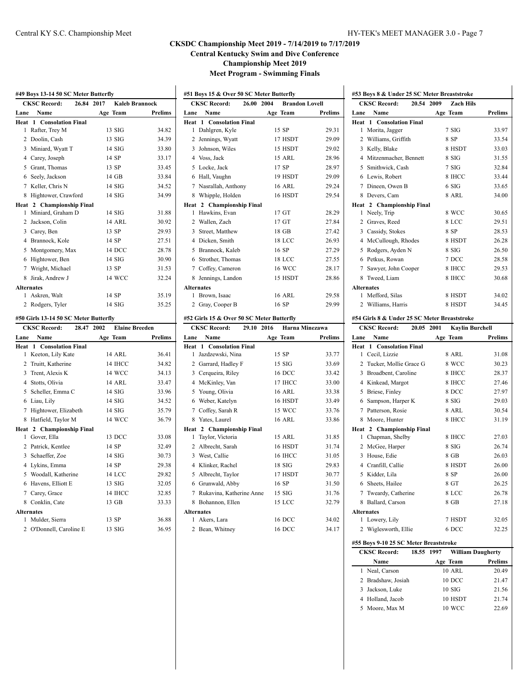|                | <b>CKSC Record:</b>  | 26.00 2004 | <b>Brandon Lovell</b> |                |
|----------------|----------------------|------------|-----------------------|----------------|
| Lane           | Name                 |            | Age Team              | <b>Prelims</b> |
| Heat           | 1 Consolation Final  |            |                       |                |
| 1              | Dahlgren, Kyle       |            | 15 SP                 | 29.31          |
| 2              | Jennings, Wyatt      |            | 17 HSDT               | 29.09          |
| 3              | Johnson, Wiles       |            | 15 HSDT               | 29.02          |
|                | 4 Voss, Jack         |            | 15 ARL                | 28.96          |
|                | 5 Locke, Jack        |            | 17 SP                 | 28.97          |
|                | 6 Hall, Vaughn       |            | 19 HSDT               | 29.09          |
| 7              | Nasrallah, Anthony   |            | 16 ARL                | 29.24          |
| 8              | Whipple, Holden      |            | 16 HSDT               | 29.54          |
| Heat           | 2 Championship Final |            |                       |                |
| 1              | Hawkins, Evan        |            | $17$ GT               | 28.29          |
|                | 2 Wallen, Zach       |            | 17 <sub>GT</sub>      | 27.84          |
|                | 3 Street, Matthew    |            | 18 GB                 | 27.42          |
|                | 4 Dicken, Smith      |            | 18 LCC                | 26.93          |
| 5              | Brannock, Kaleb      |            | 16 SP                 | 27.29          |
|                | 6 Strother, Thomas   |            | 18 LCC                | 27.55          |
| $7^{\circ}$    | Coffey, Cameron      |            | <b>16 WCC</b>         | 28.17          |
| 8              | Jennings, Landon     |            | 15 HSDT               | 28.86          |
|                | <b>Alternates</b>    |            |                       |                |
| 1              | Brown, Isaac         |            | <b>16 ARL</b>         | 29.58          |
| $\overline{2}$ | Gray, Cooper B       |            | 16 SP                 | 29.99          |

#### **#52 Girls 15 & Over 50 SC Meter Butterfly**

|      | <b>CKSC Record:</b>             | 29.10 2016 | Harna Minezawa |         |
|------|---------------------------------|------------|----------------|---------|
| Lane | Name                            | Age Team   |                | Prelims |
|      | <b>Heat 1 Consolation Final</b> |            |                |         |
| 1    | Jazdzewski, Nina                |            | 15 SP          | 33.77   |
|      | 2 Garrard, Hadley F             |            | $15$ SIG       | 33.69   |
|      | 3 Cerqueira, Riley              |            | 16 DCC         | 33.42   |
|      | 4 McKinley, Van                 |            | 17 IHCC        | 33.00   |
|      | 5 Young, Olivia                 |            | <b>16 ARL</b>  | 33.38   |
|      | 6 Weber, Katelyn                |            | 16 HSDT        | 33.49   |
|      | 7 Coffey, Sarah R               |            | 15 WCC         | 33.76   |
|      | 8 Yates, Laurel                 |            | <b>16 ARL</b>  | 33.86   |
|      | Heat 2 Championship Final       |            |                |         |
| 1    | Taylor, Victoria                |            | 15 ARL         | 31.85   |
|      | 2 Albrecht, Sarah               |            | 16 HSDT        | 31.74   |
|      | 3 West, Callie                  |            | 16 IHCC        | 31.05   |
|      | 4 Klinker, Rachel               |            | $18$ SIG       | 29.83   |
|      | 5 Albrecht, Taylor              |            | 17 HSDT        | 30.77   |
|      | 6 Grunwald, Abby                |            | 16 SP          | 31.50   |
| 7    | Rukavina, Katherine Anne        |            | $15$ SIG       | 31.76   |
| 8    | Bohannon, Ellen                 |            | 15 LCC         | 32.79   |
|      | <b>Alternates</b>               |            |                |         |
| 1    | Akers, Lara                     |            | 16 DCC         | 34.02   |
|      | 2 Bean, Whitney                 |            | 16 DCC         | 34.17   |
|      |                                 |            |                |         |

| #53 Boys 8 & Under 25 SC Meter Breaststroke |                                   |                  |                |  |  |
|---------------------------------------------|-----------------------------------|------------------|----------------|--|--|
|                                             | 20.54 2009<br><b>CKSC Record:</b> | <b>Zach Hils</b> |                |  |  |
| Lane                                        | Name                              | Age Team         | <b>Prelims</b> |  |  |
| Heat                                        | 1 Consolation Final               |                  |                |  |  |
| 1                                           | Morita, Jagger                    | 7 SIG            | 33.97          |  |  |
| $\mathcal{D}_{\mathcal{A}}$                 | Williams, Griffith                | 8 SP             | 33.54          |  |  |
| 3                                           | Kelly, Blake                      | 8 HSDT           | 33.03          |  |  |
| 4                                           | Mitzenmacher, Bennett             | 8 SIG            | 31.55          |  |  |
| 5                                           | Smithwick, Cash                   | 7 SIG            | 32.84          |  |  |
|                                             | 6 Lewis, Robert                   | 8 IHCC           | 33.44          |  |  |
| 7                                           | Dineen. Owen B                    | $6$ SIG          | 33.65          |  |  |
| 8                                           | Devers, Cam                       | 8 ARL            | 34.00          |  |  |
|                                             | Heat 2 Championship Final         |                  |                |  |  |
| 1                                           | Neely, Trip                       | 8 WCC            | 30.65          |  |  |
| $\mathcal{D}_{\mathcal{A}}$                 | Graves, Reed                      | 8 LCC            | 29.51          |  |  |
| 3                                           | Cassidy, Stokes                   | 8 SP             | 28.53          |  |  |
| 4                                           | McCullough, Rhodes                | 8 HSDT           | 26.28          |  |  |
| 5                                           | Rodgers, Ayden N                  | 8 SIG            | 26.50          |  |  |
| 6                                           | Petkus, Rowan                     | 7 DCC            | 28.58          |  |  |
| 7                                           | Sawyer, John Cooper               | 8 IHCC           | 29.53          |  |  |
| 8.                                          | Tweed, Liam                       | 8 IHCC           | 30.68          |  |  |
|                                             | <b>Alternates</b>                 |                  |                |  |  |
| 1                                           | Mefford, Silas                    | 8 HSDT           | 34.02          |  |  |
| 2                                           | Williams, Harris                  | 8 HSDT           | 34.45          |  |  |
|                                             |                                   |                  |                |  |  |

#### **#54 Girls 8 & Under 25 SC Meter Breaststroke**

| <b>CKSC Record:</b>             | 20.05 2001 | <b>Kaylin Burchell</b> |                |
|---------------------------------|------------|------------------------|----------------|
| Name<br>Lane                    |            | Age Team               | <b>Prelims</b> |
| <b>Heat 1 Consolation Final</b> |            |                        |                |
| Cecil, Lizzie<br>1              |            | 8 ARL                  | 31.08          |
| Tucker, Mollie Grace G<br>2     |            | 8 WCC                  | 30.23          |
| 3<br>Broadbent, Caroline        |            | 8 IHCC                 | 28.37          |
| Kinkead, Margot<br>4            |            | 8 IHCC                 | 27.46          |
| Briese, Finley<br>5             |            | 8 DCC                  | 27.97          |
| Sampson, Harper K<br>6          |            | 8 SIG                  | 29.03          |
| Patterson, Rosie<br>7           |            | 8 ARL                  | 30.54          |
| Moore, Hunter<br>8              |            | 8 IHCC                 | 31.19          |
| 2 Championship Final<br>Heat    |            |                        |                |
| Chapman, Shelby<br>1            |            | 8 IHCC                 | 27.03          |
| $\overline{c}$<br>McGee, Harper |            | 8 SIG                  | 26.74          |
| House, Edie<br>3                |            | 8 GB                   | 26.03          |
| Cranfill, Callie<br>4           |            | 8 HSDT                 | 26.00          |
| Kidder, Lila<br>5               |            | 8 SP                   | 26.00          |
| Sheets, Hailee<br>6             |            | 8 GT                   | 26.25          |
| 7<br>Tweardy, Catherine         |            | 8 LCC                  | 26.78          |
| Ballard, Carson<br>8            |            | 8 GB                   | 27.18          |
| <b>Alternates</b>               |            |                        |                |
| Lowery, Lily<br>1               |            | 7 HSDT                 | 32.05          |
| 2 Wiglesworth, Ellie            |            | 6 DCC                  | 32.25          |
| . <b></b>                       |            |                        |                |

#### **#55 Boys 9-10 25 SC Meter Breaststroke**

Ĭ.

| <b>CKSC Record:</b> | 18.55 1997 |                      | <b>William Daugherty</b> |
|---------------------|------------|----------------------|--------------------------|
| Name                |            | Age Team             | Prelims                  |
| 1 Neal, Carson      |            | <b>10 ARL</b>        | 20.49                    |
| 2 Bradshaw, Josiah  |            | $10$ DCC             | 21.47                    |
| Jackson, Luke<br>3  |            | $10 \overline{S}$ IG | 21.56                    |
| 4 Holland, Jacob    |            | 10 HSDT              | 21.74                    |
| Moore, Max M<br>5   |            | 10 WCC               | 22.69                    |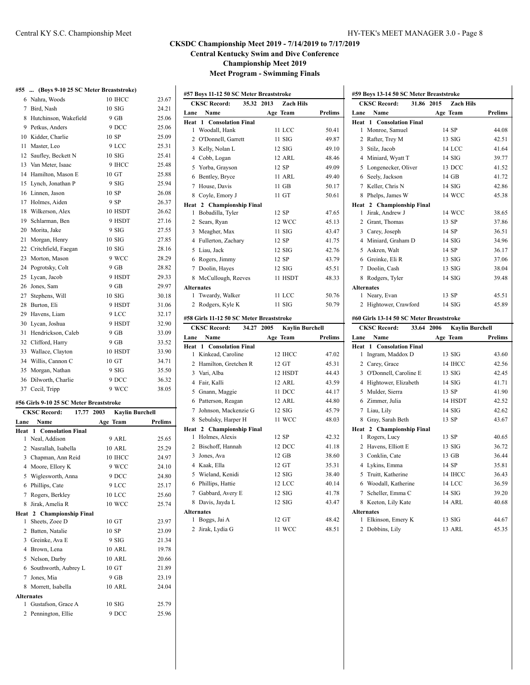#### **#55 ... (Boys 9-10 25 SC Meter Breaststroke)**

|    | 6 Nahra, Woods          | 10 IHCC | 23.67 |
|----|-------------------------|---------|-------|
| 7  | Bird, Nash              | 10SIG   | 24.21 |
|    | 8 Hutchinson, Wakefield | 9 GB    | 25.06 |
|    | 9 Petkus, Anders        | 9 DCC   | 25.06 |
| 10 | Kidder, Charlie         | 10 SP   | 25.09 |
| 11 | Master, Leo             | 9 LCC   | 25.31 |
|    | 12 Saufley, Beckett N   | 10SIG   | 25.41 |
|    | 13 Van Meter, Isaac     | 9 IHCC  | 25.48 |
|    | 14 Hamilton, Mason E    | 10 GT   | 25.88 |
| 15 | Lynch, Jonathan P       | 9 SIG   | 25.94 |
|    | 16 Linnen, Jason        | 10 SP   | 26.08 |
|    | 17 Holmes, Aiden        | 9 SP    | 26.37 |
|    | 18 Wilkerson, Alex      | 10 HSDT | 26.62 |
|    | 19 Schlarman, Ben       | 9 HSDT  | 27.16 |
|    | 20 Morita, Jake         | 9 SIG   | 27.55 |
| 21 | Morgan, Henry           | 10SIG   | 27.85 |
|    | 22 Critchfield, Faegan  | 10SIG   | 28.16 |
|    | 23 Morton, Mason        | 9 WCC   | 28.29 |
|    | 24 Pogrotsky, Colt      | $9$ GB  | 28.82 |
|    | 25 Lycan, Jacob         | 9 HSDT  | 29.33 |
|    | 26 Jones, Sam           | 9 GB    | 29.97 |
| 27 | Stephens, Will          | 10 SIG  | 30.18 |
|    | 28 Burton, Eli          | 9 HSDT  | 31.06 |
|    | 29 Havens, Liam         | 9 LCC   | 32.17 |
|    | 30 Lycan, Joshua        | 9 HSDT  | 32.90 |
|    | 31 Hendrickson, Caleb   | $9$ GB  | 33.09 |
|    | 32 Clifford, Harry      | 9 GB    | 33.52 |
|    | 33 Wallace, Clayton     | 10 HSDT | 33.90 |
|    | 34 Willis, Cannon C     | 10 GT   | 34.71 |
|    | 35 Morgan, Nathan       | 9 SIG   | 35.50 |
| 36 | Dilworth, Charlie       | 9 DCC   | 36.32 |
|    | 37 Cecil, Tripp         | 9 WCC   | 38.05 |

#### **#56 Girls 9-10 25 SC Meter Breaststroke**

|                   | <b>CKSC Record:</b><br>17.77    | <b>Kaylin Burchell</b><br>2003 |                |
|-------------------|---------------------------------|--------------------------------|----------------|
| Lane              | Name                            | Age Team                       | <b>Prelims</b> |
|                   | <b>Heat 1 Consolation Final</b> |                                |                |
| 1                 | Neal, Addison                   | 9 ARL                          | 25.65          |
| 2                 | Nasrallah, Isabella             | 10 ARL                         | 25.29          |
| 3                 | Chapman, Ann Reid               | 10 IHCC                        | 24.97          |
| 4                 | Moore, Ellory K                 | 9 WCC                          | 24.10          |
| 5                 | Wiglesworth, Anna               | 9 DCC                          | 24.80          |
| 6                 | Phillips, Cate                  | 9 LCC                          | 25.17          |
| 7                 | Rogers, Berkley                 | 10 LCC                         | 25.60          |
| 8                 | Jirak, Amelia R                 | 10 WCC                         | 25.74          |
|                   | Heat 2 Championship Final       |                                |                |
| 1                 | Sheets, Zoee D                  | 10 GT                          | 23.97          |
| 2                 | Batten, Natalie                 | 10 SP                          | 23.09          |
| 3                 | Greinke, Ava E                  | 9 SIG                          | 21.34          |
| 4                 | Brown, Lena                     | 10 ARL                         | 19.78          |
| 5                 | Nelson, Darby                   | 10 ARL                         | 20.66          |
| 6                 | Southworth, Aubrey L            | 10 GT                          | 21.89          |
| 7                 | Jones, Mia                      | 9 GB                           | 23.19          |
| 8                 | Morrett, Isabella               | <b>10 ARL</b>                  | 24.04          |
| <b>Alternates</b> |                                 |                                |                |
| 1                 | Gustafson, Grace A              | 10SIG                          | 25.79          |
|                   | 2 Pennington, Ellie             | 9 DCC                          | 25.96          |
|                   |                                 |                                |                |

| <b>CKSC Record:</b><br>35.32 2013<br><b>Zach Hils</b> |                                 |          |                |  |
|-------------------------------------------------------|---------------------------------|----------|----------------|--|
| Lane                                                  | Name                            | Age Team | <b>Prelims</b> |  |
|                                                       | <b>Heat 1 Consolation Final</b> |          |                |  |
| 1                                                     | Woodall, Hank                   | 11 LCC   | 50.41          |  |
| 2                                                     | O'Donnell, Garrett              | $11$ SIG | 49.87          |  |
| 3                                                     | Kelly, Nolan L                  | $12$ SIG | 49.10          |  |
| 4                                                     | Cobb, Logan                     | 12 ARL   | 48.46          |  |
|                                                       | 5 Yorba, Grayson                | 12 SP    | 49.09          |  |
| 6                                                     | Bentley, Bryce                  | 11 ARL   | 49.40          |  |
| 7                                                     | House, Davis                    | $11$ GB  | 50.17          |  |
| 8                                                     | Coyle, Emory J                  | 11 GT    | 50.61          |  |
|                                                       | Heat 2 Championship Final       |          |                |  |
| 1                                                     | Bobadilla, Tyler                | 12 SP    | 47.65          |  |
| $\mathcal{L}$                                         | Sears, Ryan                     | 12 WCC   | 45.13          |  |
| 3                                                     | Meagher, Max                    | $11$ SIG | 43.47          |  |
|                                                       | 4 Fullerton, Zachary            | 12 SP    | 41.75          |  |
| 5                                                     | Liau, Jack                      | $12$ SIG | 42.76          |  |
| 6                                                     | Rogers, Jimmy                   | 12 SP    | 43.79          |  |
| 7                                                     | Doolin, Hayes                   | $12$ SIG | 45.51          |  |
| 8                                                     | McCullough, Reeves              | 11 HSDT  | 48.33          |  |
|                                                       | <b>Alternates</b>               |          |                |  |
| 1                                                     | Tweardy, Walker                 | 11 LCC   | 50.76          |  |
| 2                                                     | Rodgers, Kyle K                 | $11$ SIG | 50.79          |  |
|                                                       |                                 |          |                |  |

#### **#58 Girls 11-12 50 SC Meter Breaststroke**

| <b>CKSC Record:</b><br>34.27 |                                 | <b>Kaylin Burchell</b><br>2005 |         |
|------------------------------|---------------------------------|--------------------------------|---------|
| Lane                         | Name                            | Age Team                       | Prelims |
|                              | <b>Heat 1 Consolation Final</b> |                                |         |
| 1                            | Kinkead, Caroline               | 12 IHCC                        | 47.02   |
| 2                            | Hamilton, Gretchen R            | 12 GT                          | 45.31   |
|                              | 3 Vari, Alba                    | 12 HSDT                        | 44.43   |
| 4                            | Fair, Kalli                     | 12 ARL                         | 43.59   |
| 5                            | Gnann, Maggie                   | 11 DCC                         | 44.17   |
|                              | 6 Patterson, Reagan             | 12 ARL                         | 44.80   |
| 7                            | Johnson, Mackenzie G            | $12$ SIG                       | 45.79   |
|                              | 8 Sebulsky, Harper H            | 11 WCC                         | 48.03   |
|                              | Heat 2 Championship Final       |                                |         |
| 1                            | Holmes, Alexis                  | 12 SP                          | 42.32   |
|                              | 2 Bischoff, Hannah              | 12 DCC                         | 41.18   |
| 3                            | Jones, Ava                      | $12 \text{ GB}$                | 38.60   |
|                              | 4 Kaak, Ella                    | 12 GT                          | 35.31   |
| 5.                           | Wieland, Kenidi                 | $12$ SIG                       | 38.40   |
| 6                            | Phillips, Hattie                | 12 LCC                         | 40.14   |
| 7                            | Gabbard, Avery E                | $12$ SIG                       | 41.78   |
| 8                            | Davis, Jayda L                  | $12$ SIG                       | 43.47   |
| <b>Alternates</b>            |                                 |                                |         |
| 1                            | Boggs, Jai A                    | 12 GT                          | 48.42   |
| 2                            | Jirak, Lydia G                  | 11 WCC                         | 48.51   |

| #59 Boys 13-14 50 SC Meter Breaststroke                     |                                   |                  |                |  |
|-------------------------------------------------------------|-----------------------------------|------------------|----------------|--|
|                                                             | <b>CKSC Record:</b><br>31.86 2015 | <b>Zach Hils</b> |                |  |
| Lane                                                        | Name                              | Age Team         | <b>Prelims</b> |  |
| Heat                                                        | 1 Consolation Final               |                  |                |  |
| $\mathbf{1}$                                                | Monroe, Samuel                    | 14 SP            | 44.08          |  |
| 2                                                           | Rafter, Trey M                    | $13$ SIG         | 42.51          |  |
| 3                                                           | Stilz, Jacob                      | <b>14 LCC</b>    | 41.64          |  |
|                                                             | 4 Miniard, Wyatt T                | $14$ SIG         | 39.77          |  |
| 5                                                           | Longenecker, Oliver               | 13 DCC           | 41.52          |  |
| 6                                                           | Seely, Jackson                    | 14 GB            | 41.72          |  |
| 7                                                           | Keller, Chris N                   | $14\,$ SIG       | 42.86          |  |
| 8                                                           | Phelps, James W                   | <b>14 WCC</b>    | 45.38          |  |
|                                                             | Heat 2 Championship Final         |                  |                |  |
| 1                                                           | Jirak. Andrew J                   | 14 WCC           | 38.65          |  |
| 2                                                           | Grant, Thomas                     | 13 SP            | 37.86          |  |
| 3                                                           | Carey, Joseph                     | 14 SP            | 36.51          |  |
|                                                             | 4 Miniard. Graham D               | $14$ SIG         | 34.96          |  |
| 5                                                           | Askren, Walt                      | 14 SP            | 36.17          |  |
|                                                             | 6 Greinke, Eli R                  | $13$ SIG         | 37.06          |  |
| 7                                                           | Doolin, Cash                      | $13$ SIG         | 38.04          |  |
| 8                                                           | Rodgers, Tyler                    | $14\,$ SIG       | 39.48          |  |
|                                                             | <b>Alternates</b>                 |                  |                |  |
|                                                             | 1 Neary, Evan                     | 13 SP            | 45.51          |  |
| $\overline{2}$                                              | Hightower, Crawford               | $14$ SIG         | 45.89          |  |
| #60 Girls 13-14 50 SC Meter Breaststroke                    |                                   |                  |                |  |
| <b>CKSC Record:</b><br>33.64 2006<br><b>Kavlin Burchell</b> |                                   |                  |                |  |

| Name<br>Lane                    | Age Team         | Prelims |
|---------------------------------|------------------|---------|
| <b>Heat 1 Consolation Final</b> |                  |         |
| 1<br>Ingram, Maddox D           | $13 \text{ SIG}$ | 43.60   |
| 2 Carey, Grace                  | 14 IHCC          | 42.56   |
| 3 O'Donnell, Caroline E         | $13$ SIG         | 42.45   |
| 4 Hightower, Elizabeth          | $14\,$ SIG       | 41.71   |
| 5<br>Mulder, Sierra             | 13 SP            | 41.90   |
| 6 Zimmer, Julia                 | 14 HSDT          | 42.52   |
| Liau, Lily<br>7                 | $14\,$ SIG       | 42.62   |
| Gray, Sarah Beth<br>8           | 13 SP            | 43.67   |
| 2 Championship Final<br>Heat    |                  |         |
| Rogers, Lucy<br>1               | 13 SP            | 40.65   |
| Havens, Elliott E<br>2          | 13 SIG           | 36.72   |
| 3 Conklin, Cate                 | 13 GB            | 36.44   |
| Lykins, Emma<br>4               | 14 SP            | 35.81   |
| 5 Truitt, Katherine             | 14 IHCC          | 36.43   |
| Woodall, Katherine<br>6         | <b>14 LCC</b>    | 36.59   |
| Scheller, Emma C<br>7           | $14$ SIG         | 39.20   |
| Keeton, Lily Kate<br>8          | 14 ARL           | 40.68   |
| <b>Alternates</b>               |                  |         |
| Elkinson, Emery K<br>1          | $13 \text{ SIG}$ | 44.67   |
| Dobbins, Lily<br>2              | 13 ARL           | 45.35   |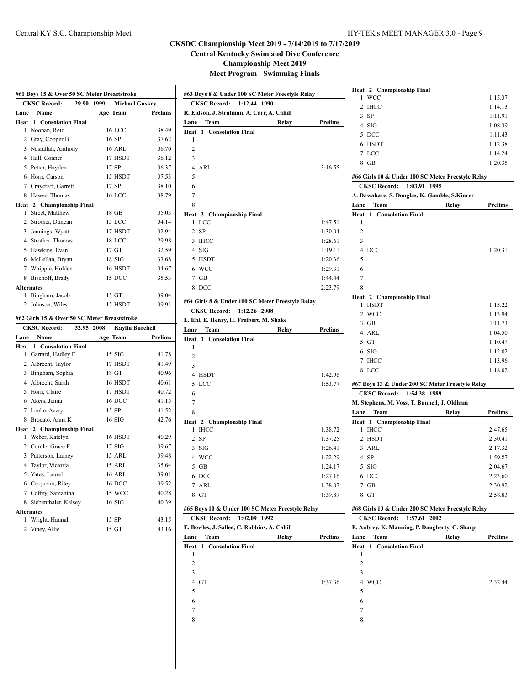# **CKSDC Championship Meet 2019 - 7/14/2019 to 7/17/2019**

**Central Kentucky Swim and Dive Conference**

**Championship Meet 2019**

**Meet Program - Swimming Finals**

| <b>CKSC Record:</b><br>29.90 1999<br><b>Michael Guskey</b> |                                              |                                      |                                                                                                                                                         |
|------------------------------------------------------------|----------------------------------------------|--------------------------------------|---------------------------------------------------------------------------------------------------------------------------------------------------------|
| Lane                                                       | Name                                         | Age Team                             | Prelims                                                                                                                                                 |
|                                                            | <b>Heat 1 Consolation Final</b>              |                                      |                                                                                                                                                         |
| 1.                                                         | Noonan, Reid                                 | <b>16 LCC</b>                        | 38.49                                                                                                                                                   |
|                                                            | 2 Gray, Cooper B                             | 16 SP                                | 37.62                                                                                                                                                   |
|                                                            | 3 Nasrallah, Anthony                         | <b>16 ARL</b>                        | 36.70                                                                                                                                                   |
|                                                            | 4 Hall, Conner                               | 17 HSDT                              | 36.12                                                                                                                                                   |
|                                                            | 5 Petter, Hayden                             | 17 SP                                | 36.37                                                                                                                                                   |
|                                                            | 6 Horn, Carson                               | 15 HSDT                              | 37.53                                                                                                                                                   |
|                                                            | 7 Craycraft, Garrett                         | 17 SP                                | 38.10                                                                                                                                                   |
|                                                            | 8 Hawse, Thomas                              | <b>16 LCC</b>                        | 38.79                                                                                                                                                   |
|                                                            | Heat 2 Championship Final                    |                                      |                                                                                                                                                         |
| $\mathbf{1}$                                               | Street, Matthew                              | 18 GB                                | 35.03                                                                                                                                                   |
|                                                            | 2 Strother, Duncan                           | 15 LCC                               | 34.14                                                                                                                                                   |
|                                                            | 3 Jennings, Wyatt                            | 17 HSDT                              | 32.94                                                                                                                                                   |
|                                                            | 4 Strother, Thomas                           | 18 LCC                               | 29.98                                                                                                                                                   |
|                                                            | 5 Hawkins, Evan                              | 17 GT                                | 32.59                                                                                                                                                   |
|                                                            | 6 McLellan, Bryan                            | $18$ SIG                             | 33.68                                                                                                                                                   |
|                                                            | 7 Whipple, Holden                            | 16 HSDT                              | 34.67                                                                                                                                                   |
|                                                            | 8 Bischoff, Brady                            | 15 DCC                               | 35.53                                                                                                                                                   |
|                                                            | <b>Alternates</b>                            |                                      |                                                                                                                                                         |
|                                                            | 1 Bingham, Jacob                             | 15 GT                                | 39.04                                                                                                                                                   |
|                                                            | 2 Johnson, Wiles                             | 15 HSDT                              | 39.91                                                                                                                                                   |
|                                                            | #62 Girls 15 & Over 50 SC Meter Breaststroke |                                      |                                                                                                                                                         |
|                                                            | <b>CKSC Record:</b>                          |                                      |                                                                                                                                                         |
|                                                            |                                              |                                      |                                                                                                                                                         |
|                                                            |                                              | 32.95 2008<br><b>Kaylin Burchell</b> |                                                                                                                                                         |
|                                                            | Name                                         | Age Team                             |                                                                                                                                                         |
|                                                            | <b>Consolation Final</b><br>Heat 1           | $15$ SIG                             |                                                                                                                                                         |
|                                                            | 1 Garrard, Hadley F                          |                                      |                                                                                                                                                         |
|                                                            | 2 Albrecht, Taylor                           | 17 HSDT                              |                                                                                                                                                         |
|                                                            | 3 Bingham, Sophia                            | 18 GT                                |                                                                                                                                                         |
| Lane                                                       | 4 Albrecht, Sarah                            | 16 HSDT                              |                                                                                                                                                         |
|                                                            | 5 Horn, Claire                               | 17 HSDT                              |                                                                                                                                                         |
|                                                            | 6 Akers, Jenna                               | 16 DCC                               |                                                                                                                                                         |
|                                                            | 7 Locke, Avery                               | 15 SP                                |                                                                                                                                                         |
|                                                            | 8 Brocato, Anna K                            | 16 SIG                               |                                                                                                                                                         |
|                                                            | Heat 2 Championship Final                    | 16 HSDT                              |                                                                                                                                                         |
|                                                            | 1 Weber, Katelyn                             |                                      |                                                                                                                                                         |
|                                                            | 2 Cordle, Grace E                            | $17$ SIG                             |                                                                                                                                                         |
|                                                            | 3 Patterson, Lainey                          | <b>15 ARL</b>                        |                                                                                                                                                         |
|                                                            | 4 Taylor, Victoria                           | 15 ARL                               |                                                                                                                                                         |
|                                                            | 5 Yates, Laurel                              | 16 ARL                               |                                                                                                                                                         |
|                                                            | 6 Cerqueira, Riley                           | 16 DCC                               |                                                                                                                                                         |
|                                                            | 7 Coffey, Samantha                           | 15 WCC                               |                                                                                                                                                         |
|                                                            | 8 Siebenthaler, Kelsey                       | $16$ SIG                             |                                                                                                                                                         |
|                                                            | <b>Alternates</b>                            |                                      | Prelims<br>41.78<br>41.49<br>40.96<br>40.61<br>40.72<br>41.15<br>41.52<br>42.76<br>40.29<br>39.67<br>39.48<br>35.64<br>39.01<br>39.52<br>40.28<br>40.39 |
|                                                            | 1 Wright, Hannah<br>2 Viney, Allie           | 15 SP<br>15 GT                       | 43.15<br>43.16                                                                                                                                          |

| #63 Boys 8 & Under 100 SC Meter Freestyle Relay            |       |                    |
|------------------------------------------------------------|-------|--------------------|
| <b>CKSC Record:</b><br>1:12.44 1990                        |       |                    |
| R. Eidson, J. Stratman, A. Carr, A. Cahill<br>Team<br>Lane | Relay | Prelims            |
| 1 Consolation Final<br>Heat                                |       |                    |
| 1                                                          |       |                    |
| $\overline{c}$                                             |       |                    |
| 3                                                          |       |                    |
| $\overline{4}$<br>ARL                                      |       | 3:16.55            |
| 5                                                          |       |                    |
| 6                                                          |       |                    |
| 7                                                          |       |                    |
| 8                                                          |       |                    |
| Heat 2 Championship Final<br>LCC<br>1                      |       | 1:47.51            |
| $\overline{2}$<br><b>SP</b>                                |       | 1:30.04            |
| $\overline{3}$<br>IHCC                                     |       | 1:28.61            |
| $4$ SIG                                                    |       | 1:19.11            |
| 5 HSDT                                                     |       | 1:20.36            |
| WCC<br>6                                                   |       | 1:29.31            |
| 7<br>GB                                                    |       | 1:44.44            |
| 8 DCC                                                      |       | 2:23.79            |
|                                                            |       |                    |
| #64 Girls 8 & Under 100 SC Meter Freestyle Relay           |       |                    |
| <b>CKSC Record:</b><br>1:12.26 2008                        |       |                    |
| E. Ehl, E. Henry, H. Freibert, M. Shake<br>Team            |       |                    |
| Lane<br>1 Consolation Final<br>Heat                        | Relay | Prelims            |
| 1                                                          |       |                    |
| 2                                                          |       |                    |
| 3                                                          |       |                    |
| $\overline{4}$<br>HSDT                                     |       | 1:42.96            |
| 5<br>LCC                                                   |       | 1:53.77            |
| 6                                                          |       |                    |
| 7                                                          |       |                    |
| 8                                                          |       |                    |
| 2 Championship Final<br>Heat                               |       |                    |
| <b>IHCC</b><br>1                                           |       | 1:38.72            |
| $\overline{2}$<br><b>SP</b>                                |       | 1:37.25            |
| 3<br>SIG                                                   |       | 1:26.41            |
| 4 WCC                                                      |       | 1:22.29            |
| 5<br>GB                                                    |       | 1:24.17            |
| 6 DCC<br>7 ARL                                             |       | 1:27.16            |
| 8 GT                                                       |       | 1:38.07<br>1:39.89 |
|                                                            |       |                    |
| #65 Boys 10 & Under 100 SC Meter Freestyle Relay           |       |                    |
| <b>CKSC Record:</b><br>1:02.09 1992                        |       |                    |
| E. Bowles, J. Sallee, C. Robbins, A. Cahill                |       |                    |
| Lane<br>Team                                               | Relay | Prelims            |
| Heat<br>1 Consolation Final<br>1                           |       |                    |
| $\overline{c}$                                             |       |                    |
| 3                                                          |       |                    |
| $\overline{4}$<br>GT                                       |       | 1:37.36            |
| 5                                                          |       |                    |
|                                                            |       |                    |
|                                                            |       |                    |
| 6<br>7                                                     |       |                    |
| 8                                                          |       |                    |

| Heat 2 Championship Final                         |         |
|---------------------------------------------------|---------|
| <b>WCC</b><br>1                                   | 1:15.37 |
| 2 IHCC                                            | 1:14.13 |
| $3$ SP                                            | 1:11.91 |
| 4 SIG                                             | 1:08.39 |
| 5 DCC                                             | 1:11.43 |
| 6 HSDT                                            | 1:12.38 |
| 7 LCC                                             | 1:14.24 |
| 8 GB                                              | 1:20.35 |
| #66 Girls 10 & Under 100 SC Meter Freestyle Relay |         |
| CKSC Record: 1:03.91 1995                         |         |
| A. Dawahare, S. Douglas, K. Gamble, S.Kincer      |         |
| Lane<br>Team<br>Relay                             | Prelims |
| <b>Consolation Final</b><br>Heat<br>1             |         |
| 1                                                 |         |
| 2                                                 |         |
| 3                                                 |         |
| 4 DCC                                             | 1:20.31 |
| 5                                                 |         |
| 6                                                 |         |
| 7                                                 |         |
| 8                                                 |         |
| Heat 2 Championship Final                         |         |
| <b>HSDT</b><br>1                                  | 1:15.22 |
| 2 WCC                                             | 1:13.94 |
| $3$ GB                                            | 1:11.73 |
| 4 ARL                                             | 1:04.50 |
| 5 GT                                              | 1:10.47 |
| 6 SIG                                             | 1:12.02 |
| 7 IHCC                                            | 1:13.96 |
|                                                   |         |
| 8 LCC                                             | 1:18.02 |
| #67 Boys 13 & Under 200 SC Meter Freestyle Relay  |         |
| CKSC Record: 1:54.38 1989                         |         |
| M. Stephens, M. Voss, T. Bunnell, J. Oldham       |         |
| Lane<br>Team<br>Relay                             | Prelims |
| Heat<br>1 Championship Final                      |         |
| 1<br><b>IHCC</b>                                  | 2:47.65 |
| 2 HSDT                                            | 2:30.41 |
| 3 ARL                                             | 2:17.32 |
| 4 SP                                              | 1:59.87 |
| $5$ SIG                                           | 2:04.67 |
| DCC<br>6                                          | 2:23.60 |
| 7<br>GB                                           | 2:30.92 |
| 8 GT                                              | 2:58.83 |
| #68 Girls 13 & Under 200 SC Meter Freestyle Relay |         |
| <b>CKSC Record:</b><br>1:57.61<br>2002            |         |
| E. Aubrey, K. Manning, P. Daugherty, C. Sharp     |         |
| Lane<br>Team<br>Relay                             | Prelims |
| <b>Consolation Final</b><br>Heat<br>1             |         |
| 1                                                 |         |
| 2                                                 |         |
| 3                                                 |         |
| 4<br><b>WCC</b>                                   | 2:32.44 |
| 5                                                 |         |
| 6                                                 |         |
| 7                                                 |         |
| 8                                                 |         |
|                                                   |         |
|                                                   |         |